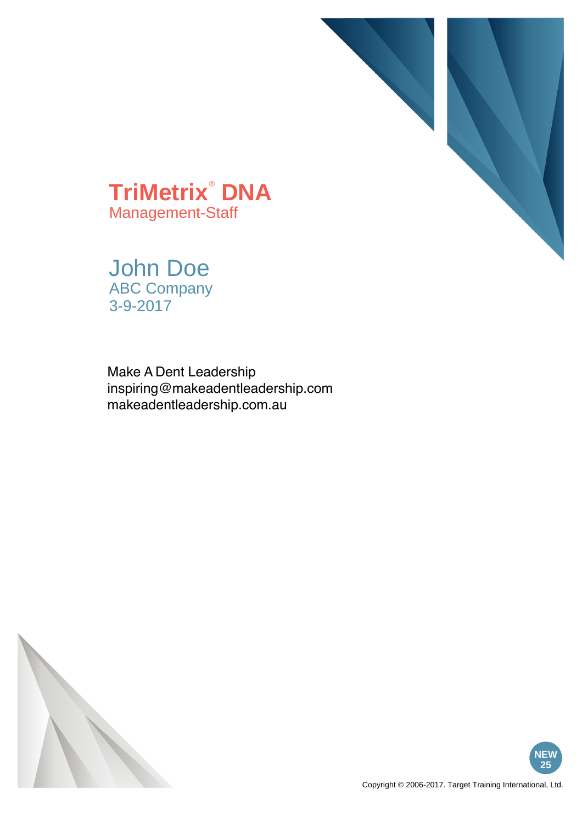

**TriMetrix**®  **DNA** Management-Staff

John Doe ABC Company 3-9-2017

Make A Dent Leadership inspiring@makeadentleadership.com makeadentleadership.com.au



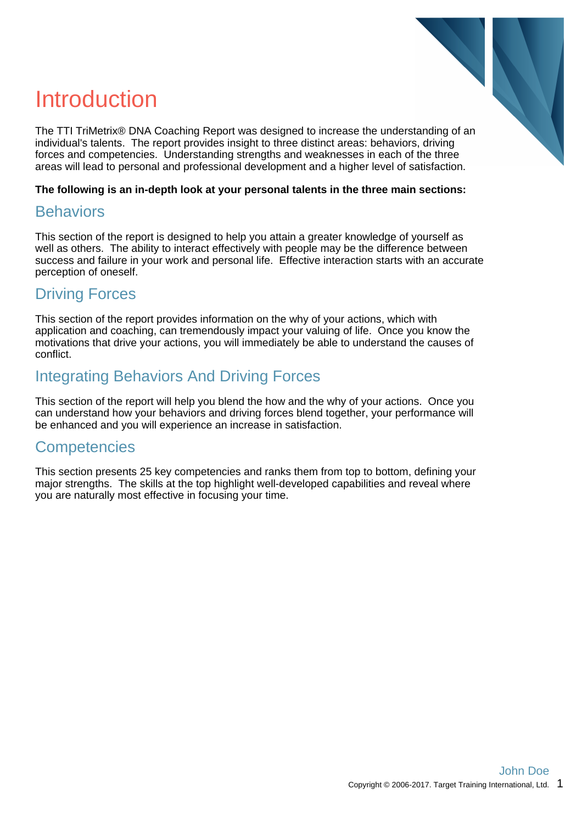

## Introduction

The TTI TriMetrix® DNA Coaching Report was designed to increase the understanding of an individual's talents. The report provides insight to three distinct areas: behaviors, driving forces and competencies. Understanding strengths and weaknesses in each of the three areas will lead to personal and professional development and a higher level of satisfaction.

#### **The following is an in-depth look at your personal talents in the three main sections:**

#### **Behaviors**

This section of the report is designed to help you attain a greater knowledge of yourself as well as others. The ability to interact effectively with people may be the difference between success and failure in your work and personal life. Effective interaction starts with an accurate perception of oneself.

#### Driving Forces

This section of the report provides information on the why of your actions, which with application and coaching, can tremendously impact your valuing of life. Once you know the motivations that drive your actions, you will immediately be able to understand the causes of conflict.

#### Integrating Behaviors And Driving Forces

This section of the report will help you blend the how and the why of your actions. Once you can understand how your behaviors and driving forces blend together, your performance will be enhanced and you will experience an increase in satisfaction.

#### **Competencies**

This section presents 25 key competencies and ranks them from top to bottom, defining your major strengths. The skills at the top highlight well-developed capabilities and reveal where you are naturally most effective in focusing your time.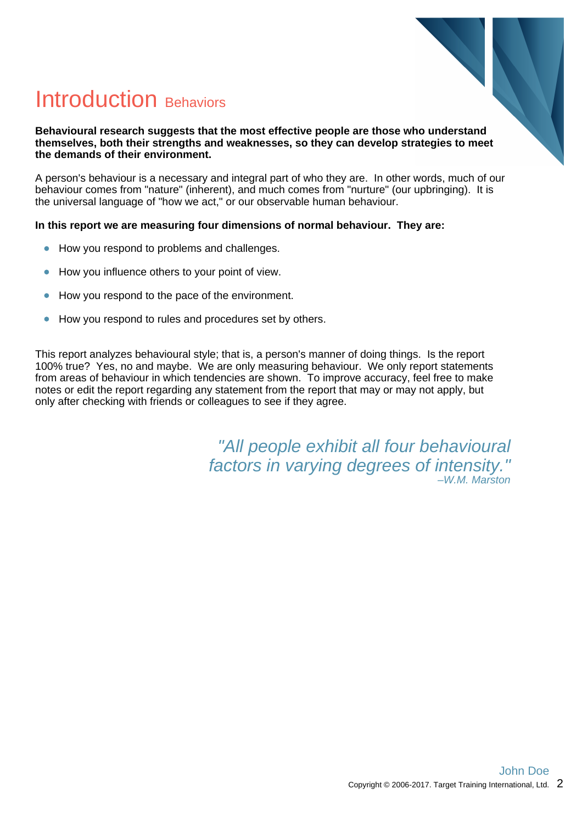

## Introduction Behaviors

#### **Behavioural research suggests that the most effective people are those who understand themselves, both their strengths and weaknesses, so they can develop strategies to meet the demands of their environment.**

A person's behaviour is a necessary and integral part of who they are. In other words, much of our behaviour comes from "nature" (inherent), and much comes from "nurture" (our upbringing). It is the universal language of "how we act," or our observable human behaviour.

#### **In this report we are measuring four dimensions of normal behaviour. They are:**

- How you respond to problems and challenges.  $\bullet$
- How you influence others to your point of view.  $\bullet$
- How you respond to the pace of the environment.
- How you respond to rules and procedures set by others.  $\bullet$

This report analyzes behavioural style; that is, a person's manner of doing things. Is the report 100% true? Yes, no and maybe. We are only measuring behaviour. We only report statements from areas of behaviour in which tendencies are shown. To improve accuracy, feel free to make notes or edit the report regarding any statement from the report that may or may not apply, but only after checking with friends or colleagues to see if they agree.

> "All people exhibit all four behavioural factors in varying degrees of intensity." –W.M. Marston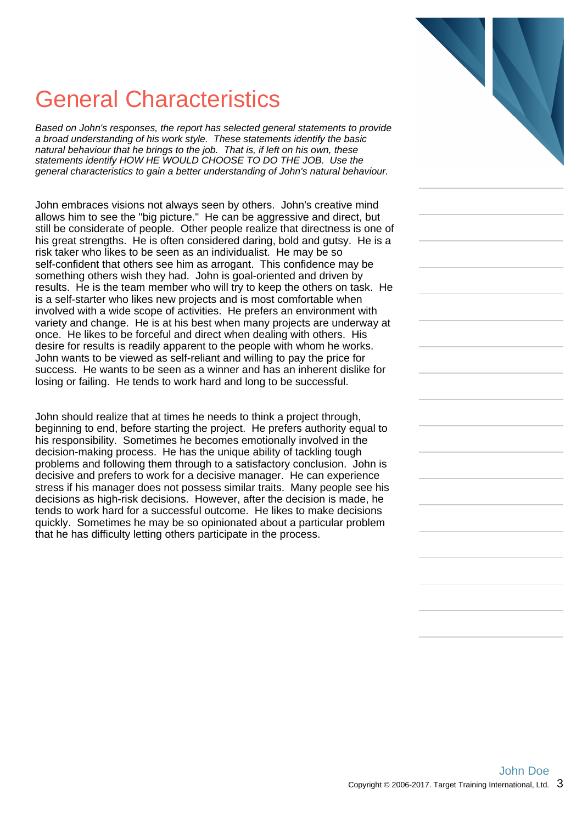## General Characteristics

Based on John's responses, the report has selected general statements to provide a broad understanding of his work style. These statements identify the basic natural behaviour that he brings to the job. That is, if left on his own, these statements identify HOW HE WOULD CHOOSE TO DO THE JOB. Use the general characteristics to gain a better understanding of John's natural behaviour.

John embraces visions not always seen by others. John's creative mind allows him to see the "big picture." He can be aggressive and direct, but still be considerate of people. Other people realize that directness is one of his great strengths. He is often considered daring, bold and gutsy. He is a risk taker who likes to be seen as an individualist. He may be so self-confident that others see him as arrogant. This confidence may be something others wish they had. John is goal-oriented and driven by results. He is the team member who will try to keep the others on task. He is a self-starter who likes new projects and is most comfortable when involved with a wide scope of activities. He prefers an environment with variety and change. He is at his best when many projects are underway at once. He likes to be forceful and direct when dealing with others. His desire for results is readily apparent to the people with whom he works. John wants to be viewed as self-reliant and willing to pay the price for success. He wants to be seen as a winner and has an inherent dislike for losing or failing. He tends to work hard and long to be successful.

John should realize that at times he needs to think a project through, beginning to end, before starting the project. He prefers authority equal to his responsibility. Sometimes he becomes emotionally involved in the decision-making process. He has the unique ability of tackling tough problems and following them through to a satisfactory conclusion. John is decisive and prefers to work for a decisive manager. He can experience stress if his manager does not possess similar traits. Many people see his decisions as high-risk decisions. However, after the decision is made, he tends to work hard for a successful outcome. He likes to make decisions quickly. Sometimes he may be so opinionated about a particular problem that he has difficulty letting others participate in the process.

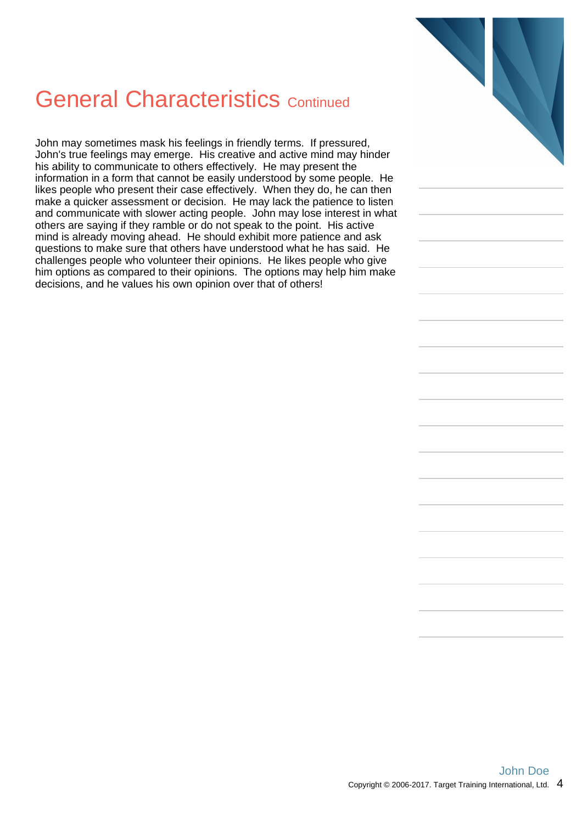## General Characteristics Continued

John may sometimes mask his feelings in friendly terms. If pressured, John's true feelings may emerge. His creative and active mind may hinder his ability to communicate to others effectively. He may present the information in a form that cannot be easily understood by some people. He likes people who present their case effectively. When they do, he can then make a quicker assessment or decision. He may lack the patience to listen and communicate with slower acting people. John may lose interest in what others are saying if they ramble or do not speak to the point. His active mind is already moving ahead. He should exhibit more patience and ask questions to make sure that others have understood what he has said. He challenges people who volunteer their opinions. He likes people who give him options as compared to their opinions. The options may help him make decisions, and he values his own opinion over that of others!

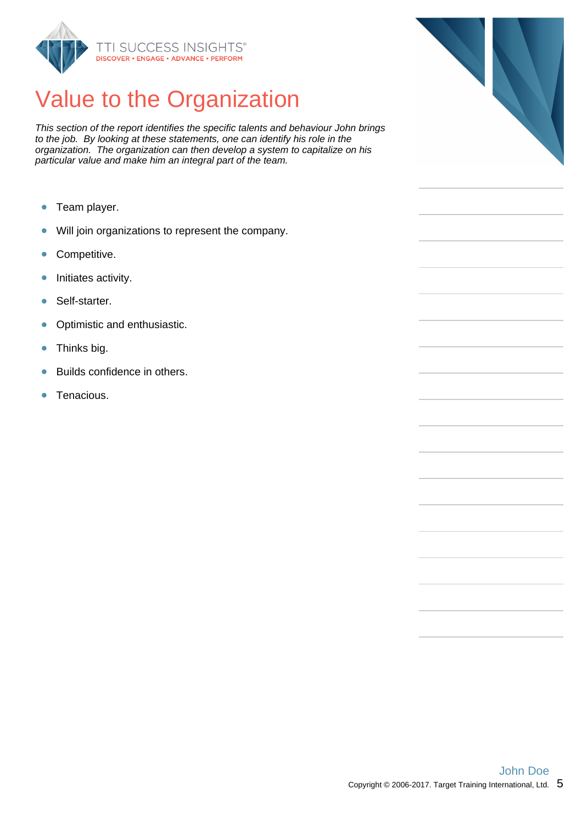

## Value to the Organization

This section of the report identifies the specific talents and behaviour John brings to the job. By looking at these statements, one can identify his role in the organization. The organization can then develop a system to capitalize on his particular value and make him an integral part of the team.

- $\bullet$ Team player.
- Will join organizations to represent the company.  $\bullet$
- Competitive.  $\bullet$
- Initiates activity.  $\bullet$
- Self-starter. ö
- Optimistic and enthusiastic.  $\bullet$
- Thinks big.  $\bullet$
- Builds confidence in others. ò
- Tenacious. ò

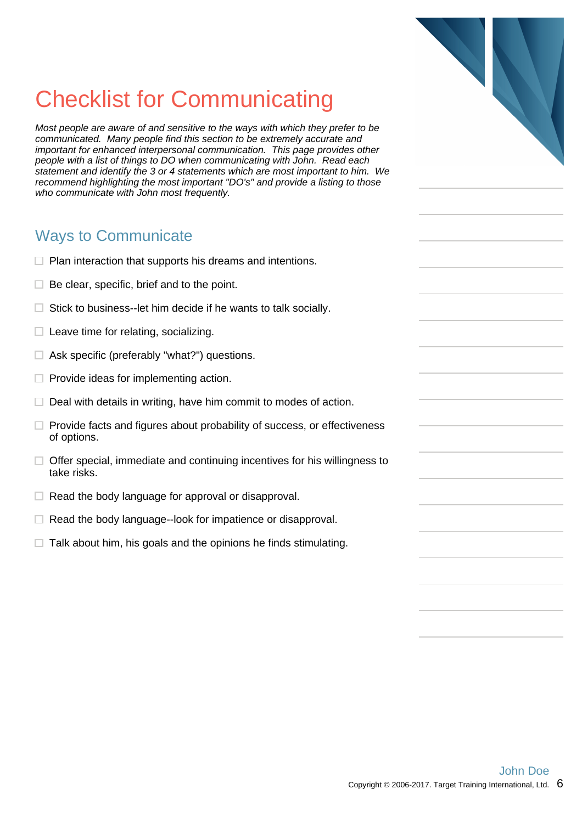## Checklist for Communicating

Most people are aware of and sensitive to the ways with which they prefer to be communicated. Many people find this section to be extremely accurate and important for enhanced interpersonal communication. This page provides other people with a list of things to DO when communicating with John. Read each statement and identify the 3 or 4 statements which are most important to him. We recommend highlighting the most important "DO's" and provide a listing to those who communicate with John most frequently.

#### Ways to Communicate

- $\Box$  Plan interaction that supports his dreams and intentions.
- $\Box$  Be clear, specific, brief and to the point.
- $\Box$  Stick to business--let him decide if he wants to talk socially.
- $\Box$  Leave time for relating, socializing.
- $\Box$  Ask specific (preferably "what?") questions.
- $\Box$  Provide ideas for implementing action.
- $\Box$  Deal with details in writing, have him commit to modes of action.
- $\Box$  Provide facts and figures about probability of success, or effectiveness of options.
- $\Box$  Offer special, immediate and continuing incentives for his willingness to take risks.
- $\Box$  Read the body language for approval or disapproval.
- $\Box$  Read the body language--look for impatience or disapproval.
- $\Box$  Talk about him, his goals and the opinions he finds stimulating.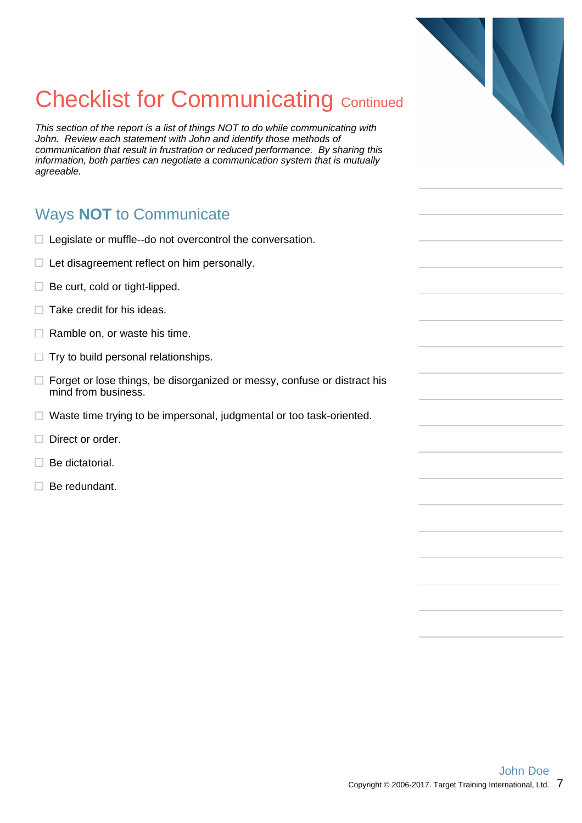## **Checklist for Communicating Continued**

This section of the report is a list of things NOT to do while communicating with John. Review each statement with John and identify those methods of communication that result in frustration or reduced performance. By sharing this information, both parties can negotiate a communication system that is mutually agreeable.

### Ways **NOT** to Communicate

- $\Box$  Legislate or muffle--do not overcontrol the conversation.
- $\Box$  Let disagreement reflect on him personally.
- $\Box$  Be curt, cold or tight-lipped.
- $\Box$  Take credit for his ideas.
- $\Box$  Ramble on, or waste his time.
- $\Box$  Try to build personal relationships.
- $\Box$  Forget or lose things, be disorganized or messy, confuse or distract his mind from business.
- $\Box$  Waste time trying to be impersonal, judgmental or too task-oriented.
- $\Box$  Direct or order.
- $\Box$  Be dictatorial.
- $\Box$  Be redundant.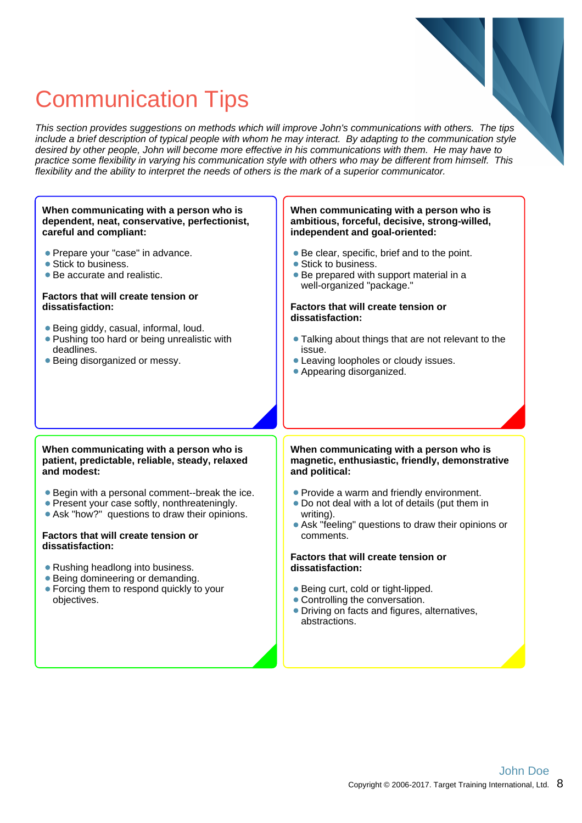## Communication Tips

This section provides suggestions on methods which will improve John's communications with others. The tips include a brief description of typical people with whom he may interact. By adapting to the communication style desired by other people, John will become more effective in his communications with them. He may have to practice some flexibility in varying his communication style with others who may be different from himself. This flexibility and the ability to interpret the needs of others is the mark of a superior communicator.

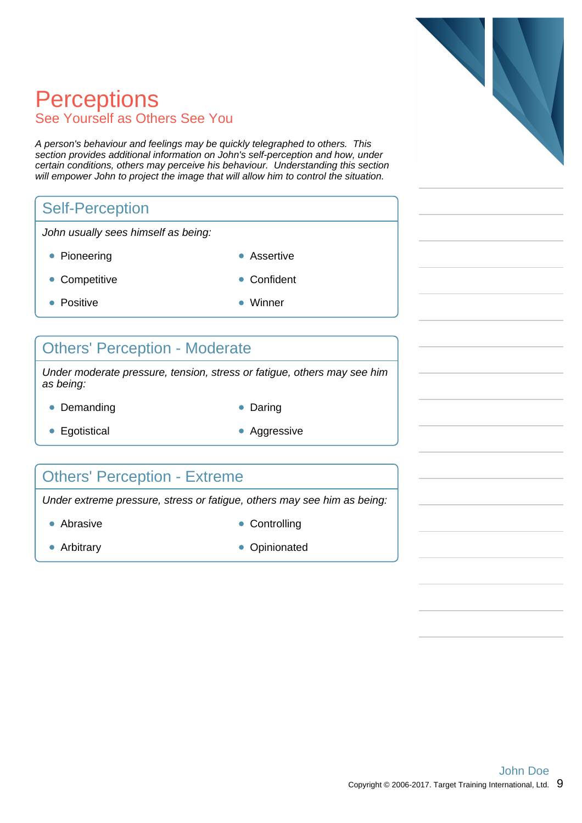## **Perceptions** See Yourself as Others See You

A person's behaviour and feelings may be quickly telegraphed to others. This section provides additional information on John's self-perception and how, under certain conditions, others may perceive his behaviour. Understanding this section will empower John to project the image that will allow him to control the situation.

#### Self-Perception

John usually sees himself as being:

- Pioneering **Assertive** 
	-
- Competitive **Confident**
- 
- Positive Winner
	-

### Others' Perception - Moderate

Under moderate pressure, tension, stress or fatigue, others may see him as being:

- Demanding **Daring Communist Communist Communist Communist Communist Communist Communist Communist Communist Communist Communist Communist Communist Communist Communist Communist Communist Communist Communist Communist Co** 
	-
- Egotistical **Aggressive** Aggressive
- 

#### Others' Perception - Extreme

Under extreme pressure, stress or fatigue, others may see him as being:

- 
- 
- Abrasive **Controlling**
- Arbitrary **Opinionated**

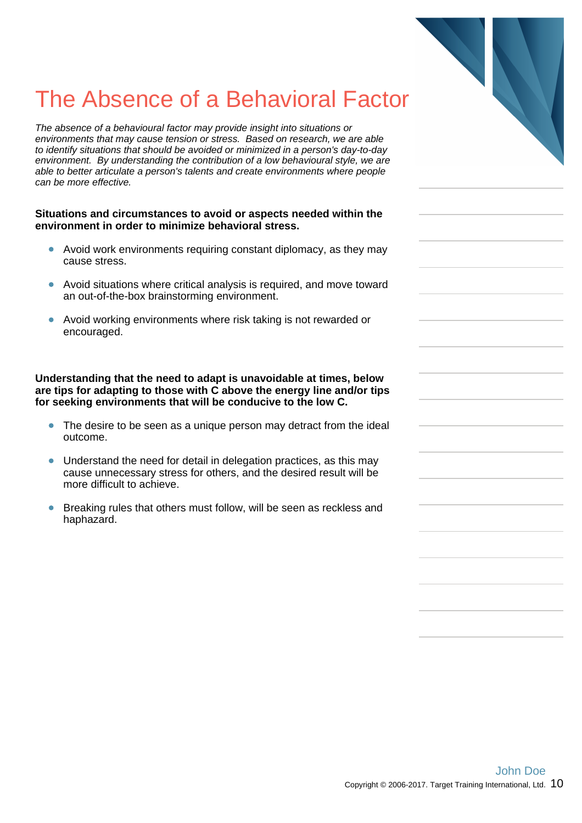## The Absence of a Behavioral Factor

The absence of a behavioural factor may provide insight into situations or environments that may cause tension or stress. Based on research, we are able to identify situations that should be avoided or minimized in a person's day-to-day environment. By understanding the contribution of a low behavioural style, we are able to better articulate a person's talents and create environments where people can be more effective.

#### **Situations and circumstances to avoid or aspects needed within the environment in order to minimize behavioral stress.**

- Avoid work environments requiring constant diplomacy, as they may cause stress.
- Avoid situations where critical analysis is required, and move toward an out-of-the-box brainstorming environment.
- Avoid working environments where risk taking is not rewarded or encouraged.

**Understanding that the need to adapt is unavoidable at times, below are tips for adapting to those with C above the energy line and/or tips for seeking environments that will be conducive to the low C.**

- $\bullet$ The desire to be seen as a unique person may detract from the ideal outcome.
- Understand the need for detail in delegation practices, as this may  $\bullet$ cause unnecessary stress for others, and the desired result will be more difficult to achieve.
- Breaking rules that others must follow, will be seen as reckless and haphazard.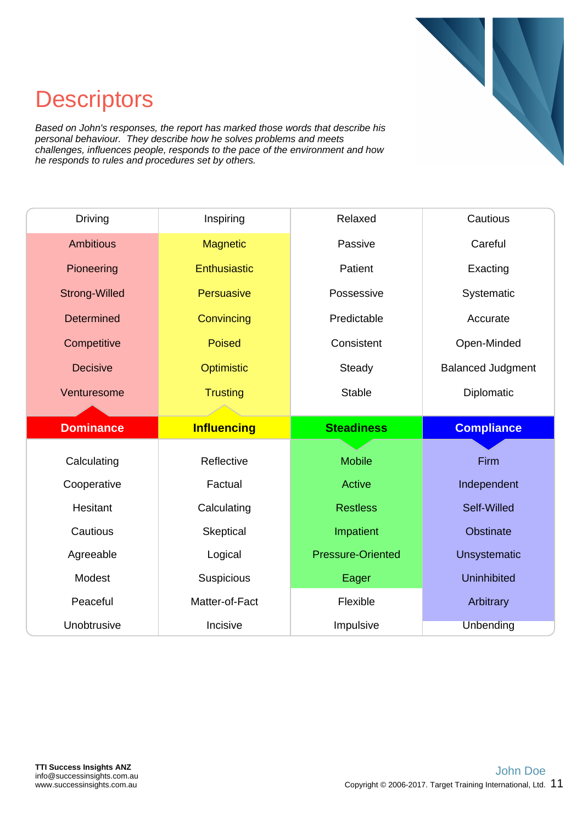

## **Descriptors**

Based on John's responses, the report has marked those words that describe his personal behaviour. They describe how he solves problems and meets challenges, influences people, responds to the pace of the environment and how he responds to rules and procedures set by others.

| <b>Driving</b>       | Inspiring          | Relaxed                  | Cautious                 |
|----------------------|--------------------|--------------------------|--------------------------|
| <b>Ambitious</b>     | <b>Magnetic</b>    | Passive                  | Careful                  |
| Pioneering           | Enthusiastic       | Patient                  | Exacting                 |
| <b>Strong-Willed</b> | <b>Persuasive</b>  | Possessive               | Systematic               |
| Determined           | Convincing         | Predictable              | Accurate                 |
| Competitive          | <b>Poised</b>      | Consistent               | Open-Minded              |
| <b>Decisive</b>      | Optimistic         | Steady                   | <b>Balanced Judgment</b> |
| Venturesome          | <b>Trusting</b>    | <b>Stable</b>            | Diplomatic               |
|                      |                    |                          |                          |
|                      |                    |                          |                          |
| <b>Dominance</b>     | <b>Influencing</b> | <b>Steadiness</b>        | <b>Compliance</b>        |
|                      |                    |                          |                          |
| Calculating          | Reflective         | <b>Mobile</b>            | Firm                     |
| Cooperative          | Factual            | <b>Active</b>            | Independent              |
| Hesitant             | Calculating        | <b>Restless</b>          | Self-Willed              |
| Cautious             | Skeptical          | Impatient                | Obstinate                |
| Agreeable            | Logical            | <b>Pressure-Oriented</b> | <b>Unsystematic</b>      |
| Modest               | Suspicious         | Eager                    | <b>Uninhibited</b>       |
| Peaceful             | Matter-of-Fact     | Flexible                 | Arbitrary                |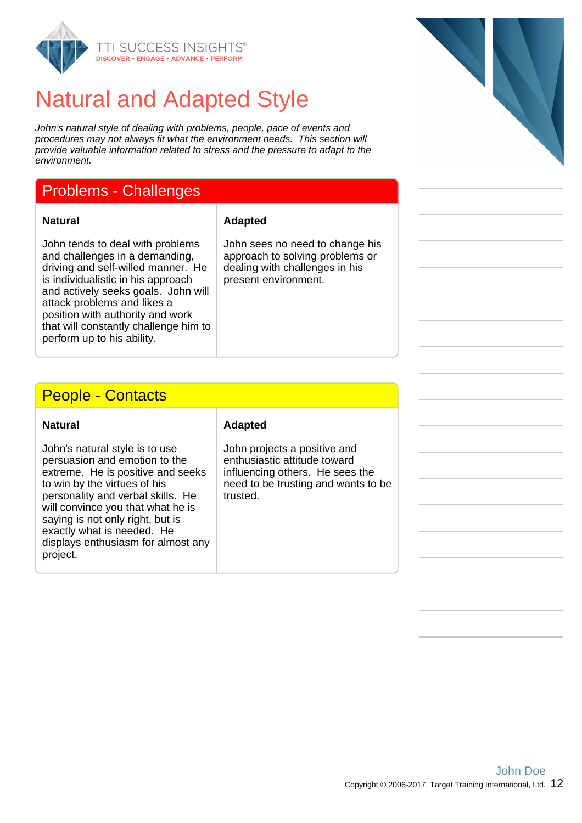

## Natural and Adapted Style

John's natural style of dealing with problems, people, pace of events and procedures may not always fit what the environment needs. This section will provide valuable information related to stress and the pressure to adapt to the environment.

#### Problems - Challenges

**Natural Adapted**

John tends to deal with problems and challenges in a demanding, driving and self-willed manner. He is individualistic in his approach and actively seeks goals. John will attack problems and likes a position with authority and work that will constantly challenge him to perform up to his ability.

John sees no need to change his approach to solving problems or dealing with challenges in his present environment.

#### People - Contacts

John's natural style is to use persuasion and emotion to the extreme. He is positive and seeks to win by the virtues of his personality and verbal skills. He will convince you that what he is saying is not only right, but is exactly what is needed. He displays enthusiasm for almost any project.

#### **Natural Adapted**

John projects a positive and enthusiastic attitude toward influencing others. He sees the need to be trusting and wants to be trusted.

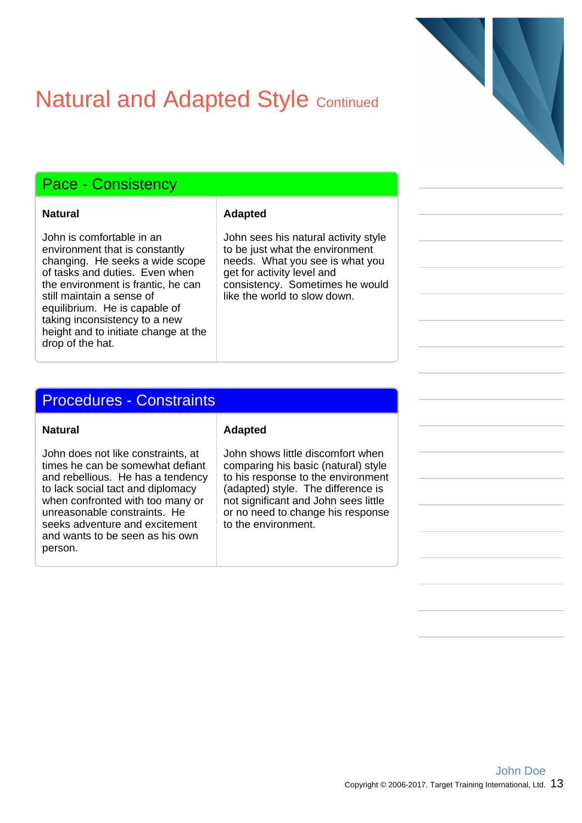## **Natural and Adapted Style Continued**

#### Pace - Consistency

John is comfortable in an environment that is constantly changing. He seeks a wide scope of tasks and duties. Even when the environment is frantic, he can still maintain a sense of equilibrium. He is capable of taking inconsistency to a new height and to initiate change at the drop of the hat.

#### **Natural Adapted**

John sees his natural activity style to be just what the environment needs. What you see is what you get for activity level and consistency. Sometimes he would like the world to slow down.

#### Procedures - Constraints

John does not like constraints, at times he can be somewhat defiant and rebellious. He has a tendency to lack social tact and diplomacy when confronted with too many or unreasonable constraints. He seeks adventure and excitement and wants to be seen as his own person.

#### **Natural Adapted**

John shows little discomfort when comparing his basic (natural) style to his response to the environment (adapted) style. The difference is not significant and John sees little or no need to change his response to the environment.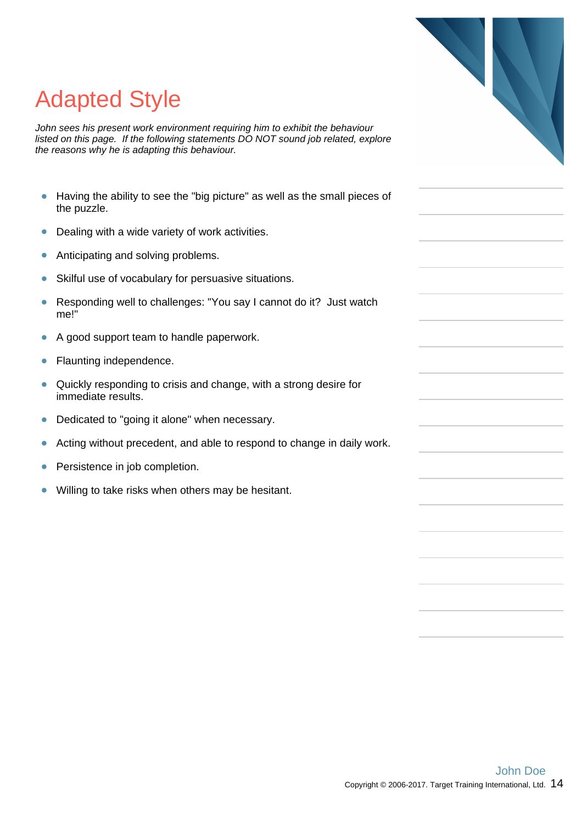

# Adapted Style

John sees his present work environment requiring him to exhibit the behaviour listed on this page. If the following statements DO NOT sound job related, explore the reasons why he is adapting this behaviour.

- Having the ability to see the "big picture" as well as the small pieces of  $\bullet$ the puzzle.
- Dealing with a wide variety of work activities.  $\bullet$
- $\bullet$ Anticipating and solving problems.
- Skilful use of vocabulary for persuasive situations. ó
- Responding well to challenges: "You say I cannot do it? Just watch  $\bullet$ me!"
- $\bullet$ A good support team to handle paperwork.
- Flaunting independence.  $\bullet$
- Quickly responding to crisis and change, with a strong desire for  $\bullet$ immediate results.
- Dedicated to "going it alone" when necessary.  $\bullet$
- Acting without precedent, and able to respond to change in daily work.  $\bullet$
- Persistence in job completion.  $\bullet$
- Willing to take risks when others may be hesitant.  $\bullet$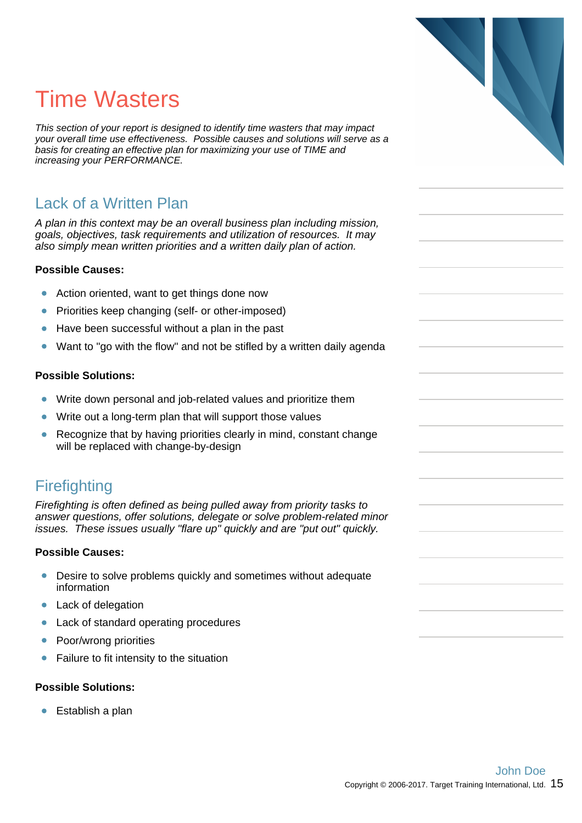## Time Wasters

This section of your report is designed to identify time wasters that may impact your overall time use effectiveness. Possible causes and solutions will serve as a basis for creating an effective plan for maximizing your use of TIME and increasing your PERFORMANCE.

#### Lack of a Written Plan

A plan in this context may be an overall business plan including mission, goals, objectives, task requirements and utilization of resources. It may also simply mean written priorities and a written daily plan of action.

#### **Possible Causes:**

- $\bullet$ Action oriented, want to get things done now
- $\bullet$ Priorities keep changing (self- or other-imposed)
- Have been successful without a plan in the past  $\bullet$
- Want to "go with the flow" and not be stifled by a written daily agenda  $\bullet$

#### **Possible Solutions:**

- $\bullet$ Write down personal and job-related values and prioritize them
- Write out a long-term plan that will support those values  $\bullet$
- $\bullet$ Recognize that by having priorities clearly in mind, constant change will be replaced with change-by-design

#### **Firefighting**

Firefighting is often defined as being pulled away from priority tasks to answer questions, offer solutions, delegate or solve problem-related minor issues. These issues usually "flare up" quickly and are "put out" quickly.

#### **Possible Causes:**

- Desire to solve problems quickly and sometimes without adequate  $\bullet$ information
- Lack of delegation  $\bullet$
- $\bullet$ Lack of standard operating procedures
- Poor/wrong priorities  $\bullet$
- Failure to fit intensity to the situation

#### **Possible Solutions:**

● Establish a plan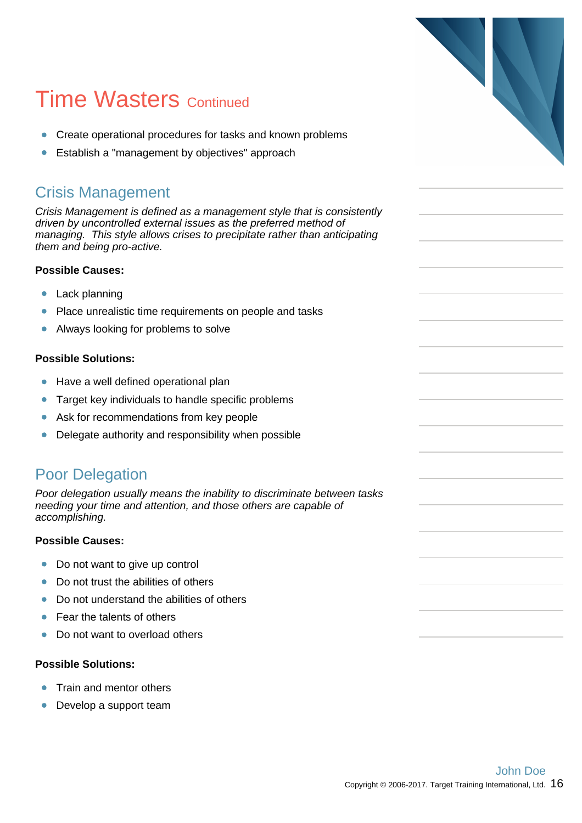## **Time Wasters Continued**

- Create operational procedures for tasks and known problems
- Establish a "management by objectives" approach  $\bullet$

#### Crisis Management

Crisis Management is defined as a management style that is consistently driven by uncontrolled external issues as the preferred method of managing. This style allows crises to precipitate rather than anticipating them and being pro-active.

#### **Possible Causes:**

- $\bullet$ Lack planning
- $\bullet$ Place unrealistic time requirements on people and tasks
- Always looking for problems to solve  $\bullet$

#### **Possible Solutions:**

- $\bullet$ Have a well defined operational plan
- $\bullet$ Target key individuals to handle specific problems
- Ask for recommendations from key people  $\bullet$
- $\bullet$ Delegate authority and responsibility when possible

#### Poor Delegation

Poor delegation usually means the inability to discriminate between tasks needing your time and attention, and those others are capable of accomplishing.

#### **Possible Causes:**

- Do not want to give up control  $\bullet$
- Do not trust the abilities of others  $\bullet$
- Do not understand the abilities of others  $\bullet$
- Fear the talents of others  $\bullet$
- $\blacksquare$ Do not want to overload others

#### **Possible Solutions:**

- ò Train and mentor others
- Develop a support team  $\bullet$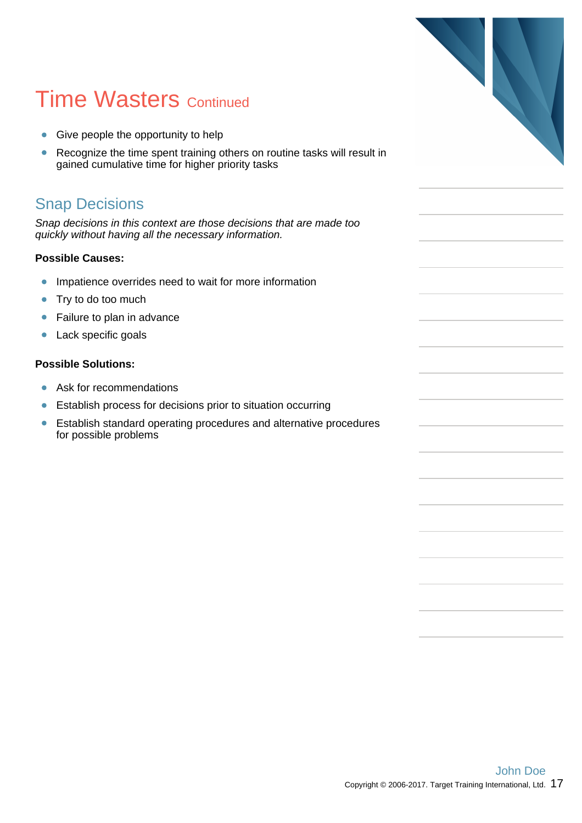## **Time Wasters Continued**

- Give people the opportunity to help
- Recognize the time spent training others on routine tasks will result in  $\bullet$ gained cumulative time for higher priority tasks

#### Snap Decisions

Snap decisions in this context are those decisions that are made too quickly without having all the necessary information.

#### **Possible Causes:**

- $\bullet$ Impatience overrides need to wait for more information
- $\bullet$ Try to do too much
- Failure to plan in advance  $\bullet$
- Lack specific goals  $\bullet$

#### **Possible Solutions:**

- Ask for recommendations
- Establish process for decisions prior to situation occurring  $\bullet$
- $\bullet$ Establish standard operating procedures and alternative procedures for possible problems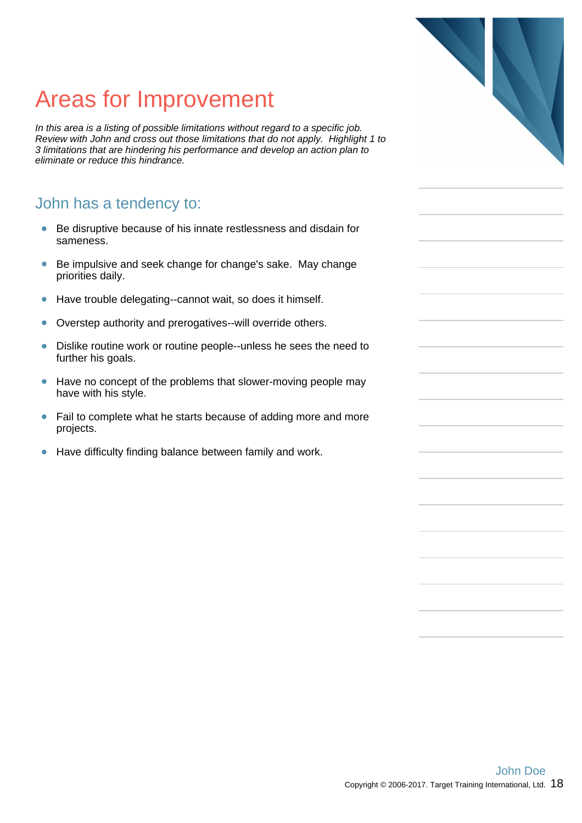## Areas for Improvement

In this area is a listing of possible limitations without regard to a specific job. Review with John and cross out those limitations that do not apply. Highlight 1 to 3 limitations that are hindering his performance and develop an action plan to eliminate or reduce this hindrance.

#### John has a tendency to:

- Be disruptive because of his innate restlessness and disdain for  $\bullet$ sameness.
- Be impulsive and seek change for change's sake. May change  $\bullet$ priorities daily.
- $\bullet$ Have trouble delegating--cannot wait, so does it himself.
- Overstep authority and prerogatives--will override others.  $\bullet$
- $\bullet$ Dislike routine work or routine people--unless he sees the need to further his goals.
- $\bullet$ Have no concept of the problems that slower-moving people may have with his style.
- Fail to complete what he starts because of adding more and more  $\bullet$ projects.
- $\bullet$ Have difficulty finding balance between family and work.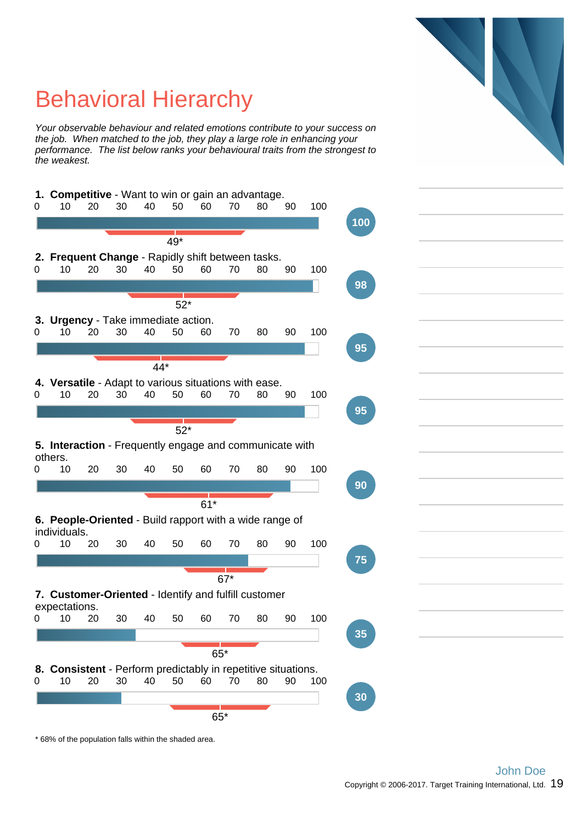

## Behavioral Hierarchy

Your observable behaviour and related emotions contribute to your success on the job. When matched to the job, they play a large role in enhancing your performance. The list below ranks your behavioural traits from the strongest to the weakest.



\* 68% of the population falls within the shaded area.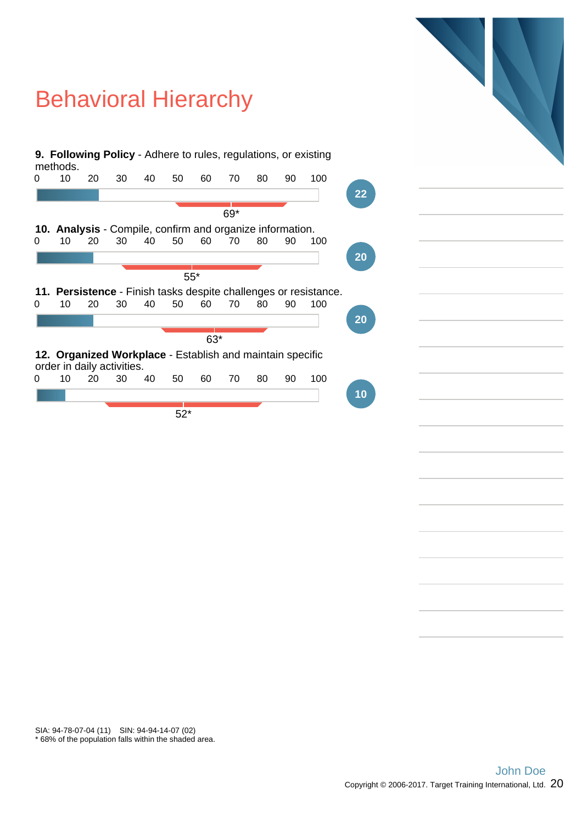## Behavioral Hierarchy



\* 68% of the population falls within the shaded area. SIA: 94-78-07-04 (11) SIN: 94-94-14-07 (02)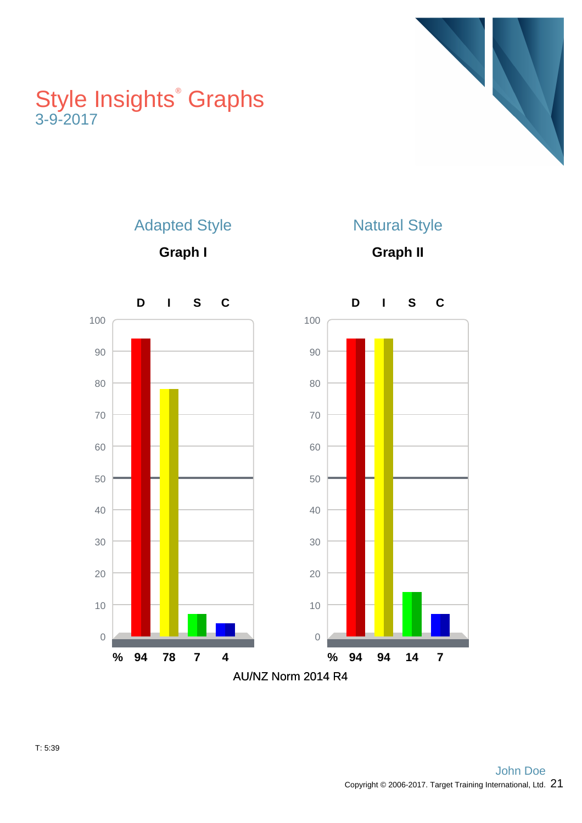## Style Insights<sup>®</sup> Graphs 3-9-2017





Adapted Style

**Graph I**

Natural Style

**Graph II**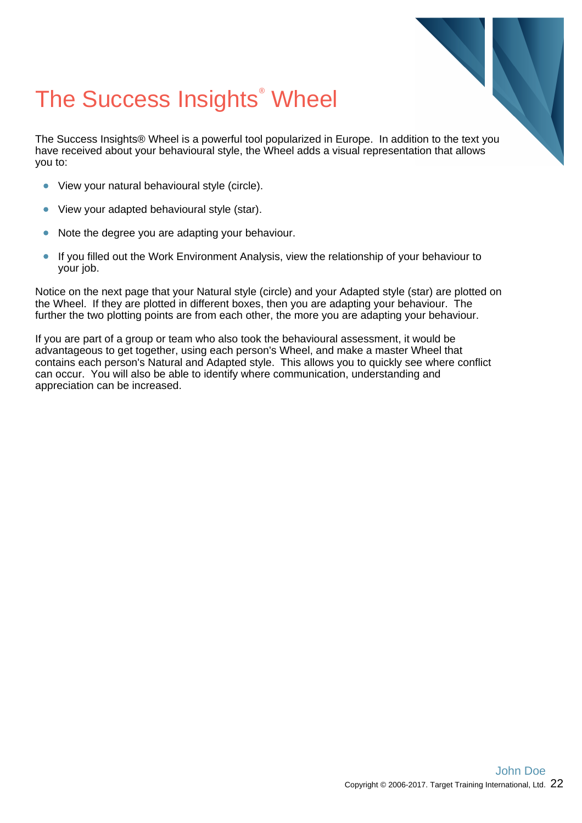## The Success Insights<sup>®</sup> Wheel

The Success Insights® Wheel is a powerful tool popularized in Europe. In addition to the text you have received about your behavioural style, the Wheel adds a visual representation that allows you to:

- View your natural behavioural style (circle).
- View your adapted behavioural style (star).  $\bullet$
- Note the degree you are adapting your behaviour.
- If you filled out the Work Environment Analysis, view the relationship of your behaviour to  $\bullet$ your job.

Notice on the next page that your Natural style (circle) and your Adapted style (star) are plotted on the Wheel. If they are plotted in different boxes, then you are adapting your behaviour. The further the two plotting points are from each other, the more you are adapting your behaviour.

If you are part of a group or team who also took the behavioural assessment, it would be advantageous to get together, using each person's Wheel, and make a master Wheel that contains each person's Natural and Adapted style. This allows you to quickly see where conflict can occur. You will also be able to identify where communication, understanding and appreciation can be increased.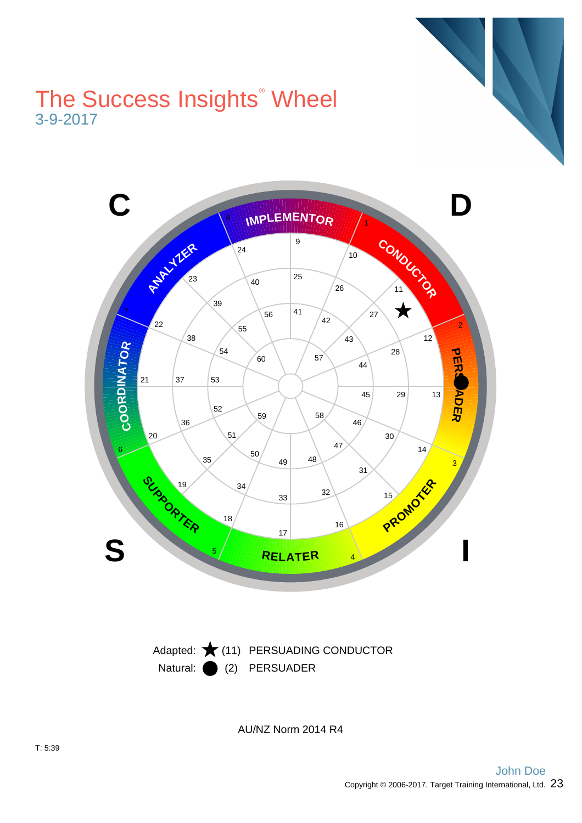## The Success Insights<sup>®</sup> Wheel 3-9-2017





AU/NZ Norm 2014 R4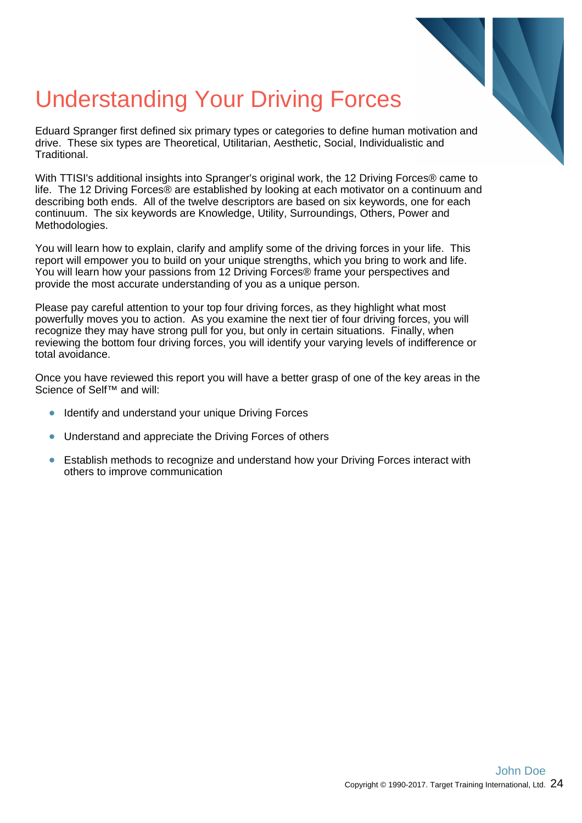

## Understanding Your Driving Forces

Eduard Spranger first defined six primary types or categories to define human motivation and drive. These six types are Theoretical, Utilitarian, Aesthetic, Social, Individualistic and Traditional.

With TTISI's additional insights into Spranger's original work, the 12 Driving Forces® came to life. The 12 Driving Forces® are established by looking at each motivator on a continuum and describing both ends. All of the twelve descriptors are based on six keywords, one for each continuum. The six keywords are Knowledge, Utility, Surroundings, Others, Power and Methodologies.

You will learn how to explain, clarify and amplify some of the driving forces in your life. This report will empower you to build on your unique strengths, which you bring to work and life. You will learn how your passions from 12 Driving Forces® frame your perspectives and provide the most accurate understanding of you as a unique person.

Please pay careful attention to your top four driving forces, as they highlight what most powerfully moves you to action. As you examine the next tier of four driving forces, you will recognize they may have strong pull for you, but only in certain situations. Finally, when reviewing the bottom four driving forces, you will identify your varying levels of indifference or total avoidance.

Once you have reviewed this report you will have a better grasp of one of the key areas in the Science of Self™ and will:

- Identify and understand your unique Driving Forces
- Understand and appreciate the Driving Forces of others
- Establish methods to recognize and understand how your Driving Forces interact with others to improve communication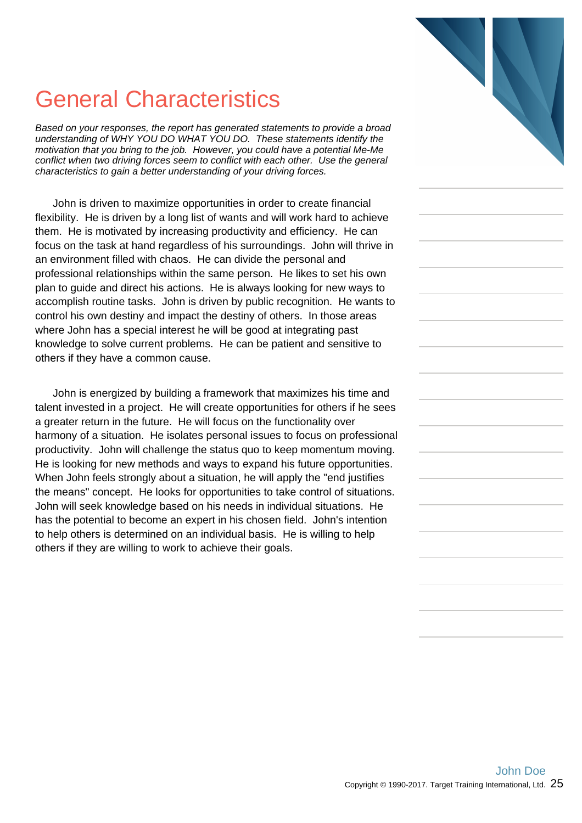## General Characteristics

Based on your responses, the report has generated statements to provide a broad understanding of WHY YOU DO WHAT YOU DO. These statements identify the motivation that you bring to the job. However, you could have a potential Me-Me conflict when two driving forces seem to conflict with each other. Use the general characteristics to gain a better understanding of your driving forces.

John is driven to maximize opportunities in order to create financial flexibility. He is driven by a long list of wants and will work hard to achieve them. He is motivated by increasing productivity and efficiency. He can focus on the task at hand regardless of his surroundings. John will thrive in an environment filled with chaos. He can divide the personal and professional relationships within the same person. He likes to set his own plan to guide and direct his actions. He is always looking for new ways to accomplish routine tasks. John is driven by public recognition. He wants to control his own destiny and impact the destiny of others. In those areas where John has a special interest he will be good at integrating past knowledge to solve current problems. He can be patient and sensitive to others if they have a common cause.

John is energized by building a framework that maximizes his time and talent invested in a project. He will create opportunities for others if he sees a greater return in the future. He will focus on the functionality over harmony of a situation. He isolates personal issues to focus on professional productivity. John will challenge the status quo to keep momentum moving. He is looking for new methods and ways to expand his future opportunities. When John feels strongly about a situation, he will apply the "end justifies the means" concept. He looks for opportunities to take control of situations. John will seek knowledge based on his needs in individual situations. He has the potential to become an expert in his chosen field. John's intention to help others is determined on an individual basis. He is willing to help others if they are willing to work to achieve their goals.

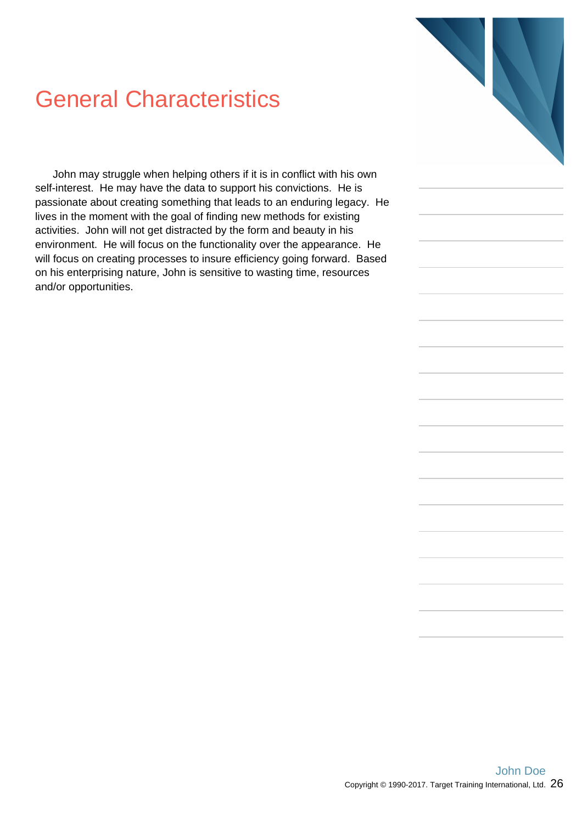## General Characteristics

John may struggle when helping others if it is in conflict with his own self-interest. He may have the data to support his convictions. He is passionate about creating something that leads to an enduring legacy. He lives in the moment with the goal of finding new methods for existing activities. John will not get distracted by the form and beauty in his environment. He will focus on the functionality over the appearance. He will focus on creating processes to insure efficiency going forward. Based on his enterprising nature, John is sensitive to wasting time, resources and/or opportunities.

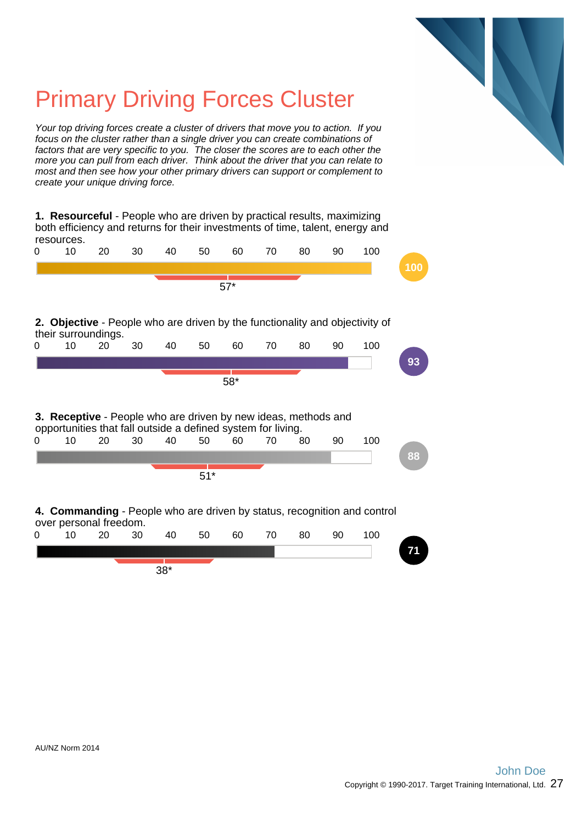

## Primary Driving Forces Cluster

Your top driving forces create a cluster of drivers that move you to action. If you focus on the cluster rather than a single driver you can create combinations of factors that are very specific to you. The closer the scores are to each other the more you can pull from each driver. Think about the driver that you can relate to most and then see how your other primary drivers can support or complement to create your unique driving force.

**1. Resourceful** - People who are driven by practical results, maximizing both efficiency and returns for their investments of time, talent, energy and resources.

| 0 | 10 | 20                                                                 | 30 | 40 | 50    | 60    | 70 | 80 | 90 | 100                                                                          |     |
|---|----|--------------------------------------------------------------------|----|----|-------|-------|----|----|----|------------------------------------------------------------------------------|-----|
|   |    |                                                                    |    |    |       |       |    |    |    |                                                                              | 100 |
|   |    |                                                                    |    |    |       | $57*$ |    |    |    |                                                                              |     |
|   |    |                                                                    |    |    |       |       |    |    |    |                                                                              |     |
|   |    | their surroundings.                                                |    |    |       |       |    |    |    | 2. Objective - People who are driven by the functionality and objectivity of |     |
| 0 | 10 | 20                                                                 | 30 | 40 | 50    | 60    | 70 | 80 | 90 | 100                                                                          |     |
|   |    |                                                                    |    |    |       |       |    |    |    |                                                                              | 93  |
|   |    |                                                                    |    |    |       | $58*$ |    |    |    |                                                                              |     |
|   |    |                                                                    |    |    |       |       |    |    |    |                                                                              |     |
|   |    |                                                                    |    |    |       |       |    |    |    |                                                                              |     |
|   |    |                                                                    |    |    |       |       |    |    |    |                                                                              |     |
|   |    | 3. Receptive - People who are driven by new ideas, methods and     |    |    |       |       |    |    |    |                                                                              |     |
| 0 | 10 | opportunities that fall outside a defined system for living.<br>20 | 30 | 40 | 50    | 60    | 70 | 80 | 90 | 100                                                                          |     |
|   |    |                                                                    |    |    |       |       |    |    |    |                                                                              | 88  |
|   |    |                                                                    |    |    |       |       |    |    |    |                                                                              |     |
|   |    |                                                                    |    |    | $51*$ |       |    |    |    |                                                                              |     |
|   |    |                                                                    |    |    |       |       |    |    |    |                                                                              |     |
|   |    |                                                                    |    |    |       |       |    |    |    | 4. Commanding - People who are driven by status, recognition and control     |     |
| 0 | 10 | over personal freedom.<br>20                                       | 30 | 40 | 50    | 60    | 70 | 80 | 90 | 100                                                                          |     |

38\*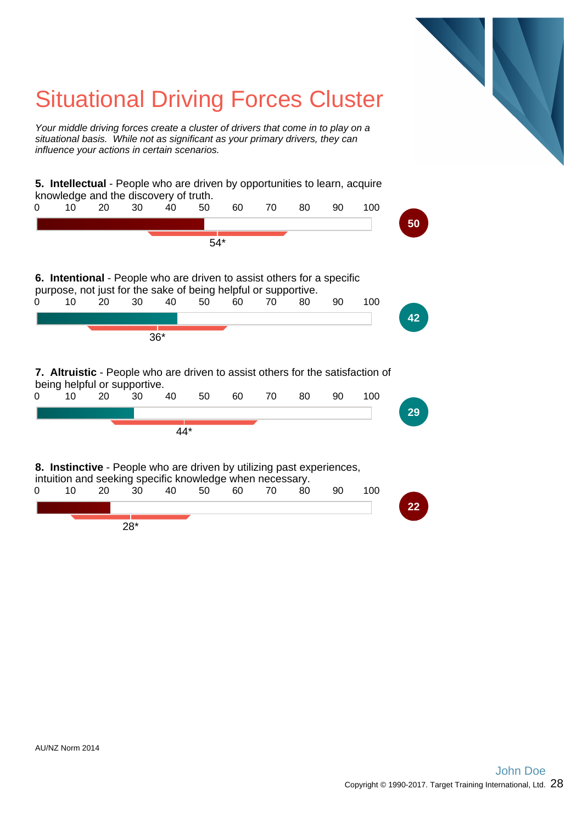## Situational Driving Forces Cluster

Your middle driving forces create a cluster of drivers that come in to play on a situational basis. While not as significant as your primary drivers, they can influence your actions in certain scenarios.

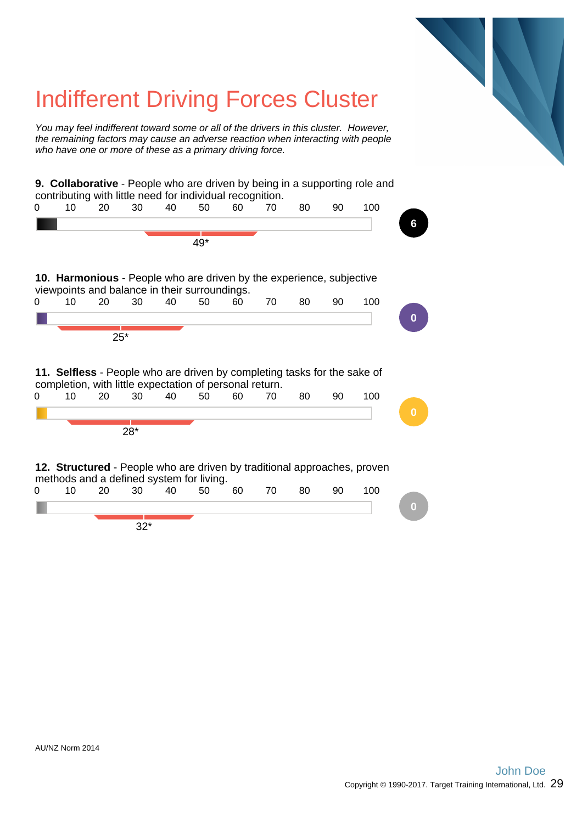## Indifferent Driving Forces Cluster You may feel indifferent toward some or all of the drivers in this cluster. However, the remaining factors may cause an adverse reaction when interacting with people who have one or more of these as a primary driving force. **9. Collaborative** - People who are driven by being in a supporting role and contributing with little need for individual recognition. 0 10 20 30 40 50 60 70 80 90 100 **6** 49\* **10. Harmonious** - People who are driven by the experience, subjective viewpoints and balance in their surroundings. 0 10 20 30 40 50 60 70 80 90 100 **0** 25\* **11. Selfless** - People who are driven by completing tasks for the sake of completion, with little expectation of personal return. 0 10 20 30 40 50 60 70 80 90 100 28\* **12. Structured** - People who are driven by traditional approaches, proven methods and a defined system for living. 0 10 20 30 40 50 60 70 80 90 100 **0** 32\*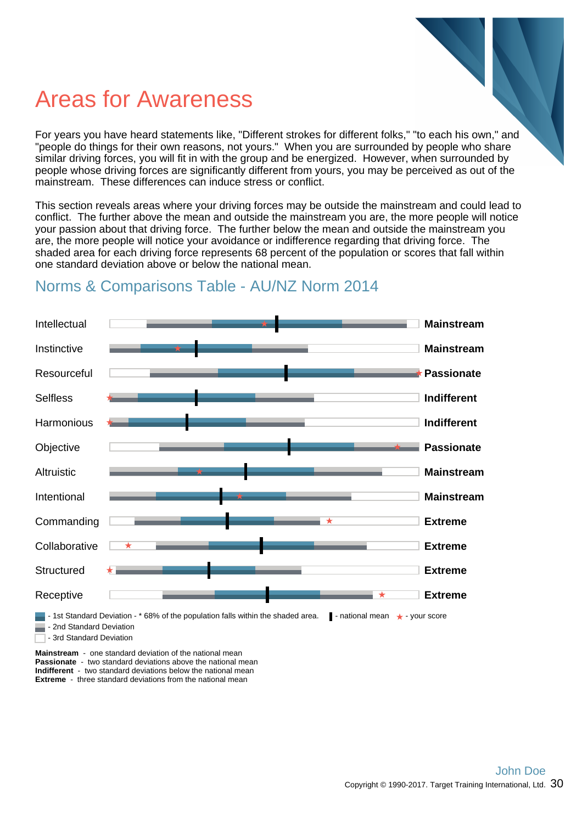## Areas for Awareness

For years you have heard statements like, "Different strokes for different folks," "to each his own," and "people do things for their own reasons, not yours." When you are surrounded by people who share similar driving forces, you will fit in with the group and be energized. However, when surrounded by people whose driving forces are significantly different from yours, you may be perceived as out of the mainstream. These differences can induce stress or conflict.

This section reveals areas where your driving forces may be outside the mainstream and could lead to conflict. The further above the mean and outside the mainstream you are, the more people will notice your passion about that driving force. The further below the mean and outside the mainstream you are, the more people will notice your avoidance or indifference regarding that driving force. The shaded area for each driving force represents 68 percent of the population or scores that fall within one standard deviation above or below the national mean.



#### Norms & Comparisons Table - AU/NZ Norm 2014

**Mainstream** - one standard deviation of the national mean **Passionate** - two standard deviations above the national mean **Indifferent** - two standard deviations below the national mean **Extreme** - three standard deviations from the national mean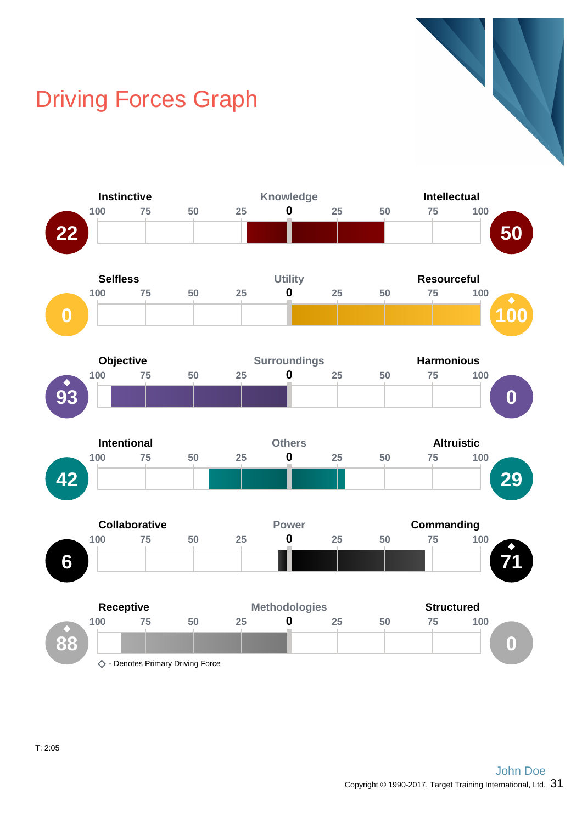## Driving Forces Graph

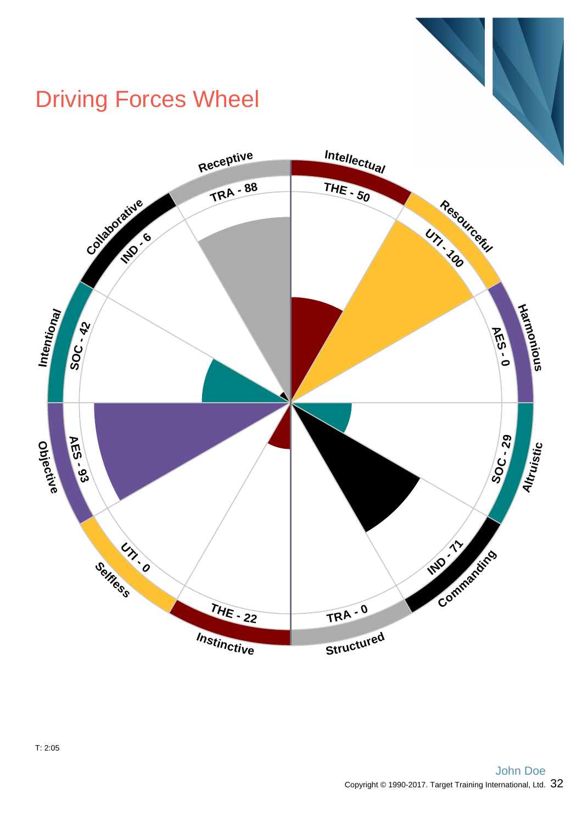## Driving Forces Wheel

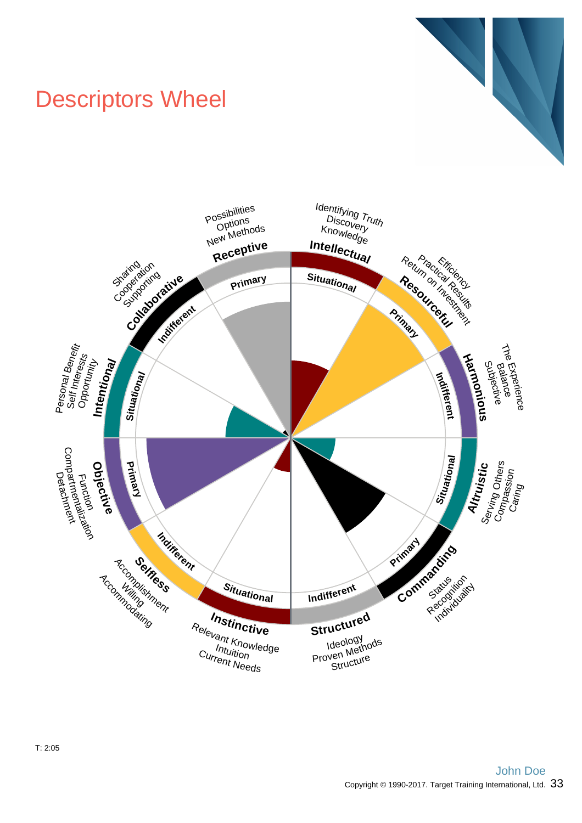## Descriptors Wheel



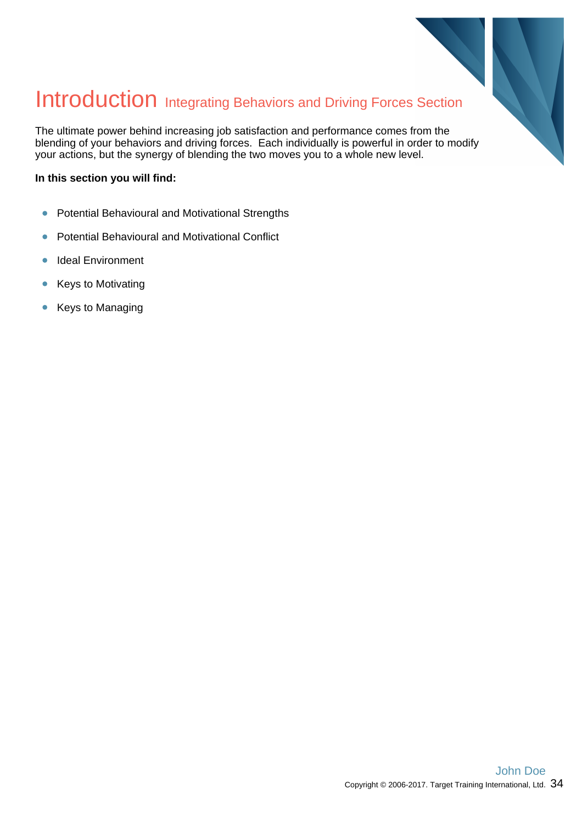

## Introduction Integrating Behaviors and Driving Forces Section

The ultimate power behind increasing job satisfaction and performance comes from the blending of your behaviors and driving forces. Each individually is powerful in order to modify your actions, but the synergy of blending the two moves you to a whole new level.

#### **In this section you will find:**

- Potential Behavioural and Motivational Strengths  $\bullet$
- Potential Behavioural and Motivational Conflict  $\bullet$
- $\bullet$ Ideal Environment
- Keys to Motivating  $\bullet$
- Keys to Managing  $\bullet$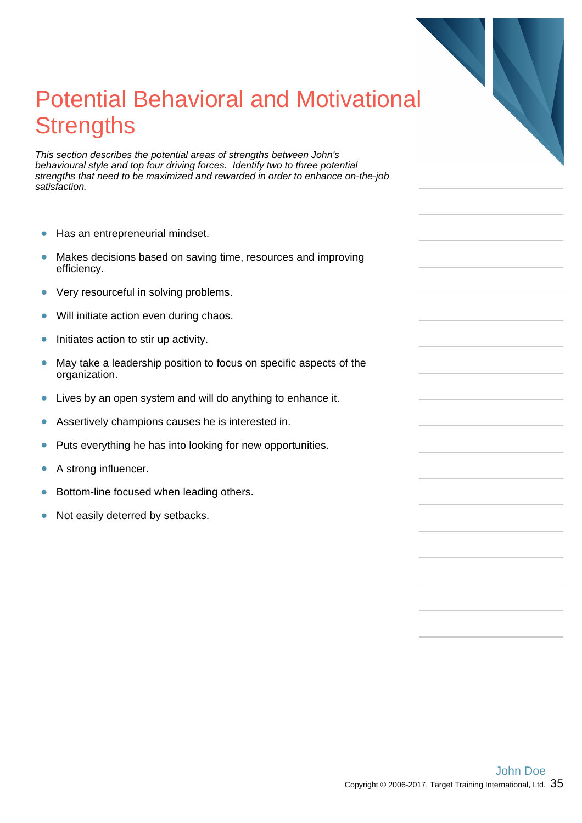# Potential Behavioral and Motivational **Strengths**

This section describes the potential areas of strengths between John's behavioural style and top four driving forces. Identify two to three potential strengths that need to be maximized and rewarded in order to enhance on-the-job satisfaction.

- $\bullet$ Has an entrepreneurial mindset.
- Makes decisions based on saving time, resources and improving  $\bullet$ efficiency.
- Very resourceful in solving problems.  $\bullet$
- $\bullet$ Will initiate action even during chaos.
- Initiates action to stir up activity.  $\bullet$
- May take a leadership position to focus on specific aspects of the  $\bullet$ organization.
- $\bullet$ Lives by an open system and will do anything to enhance it.
- Assertively champions causes he is interested in.  $\bullet$
- $\bullet$ Puts everything he has into looking for new opportunities.
- A strong influencer.  $\bullet$
- Bottom-line focused when leading others.  $\bullet$
- Not easily deterred by setbacks.  $\bullet$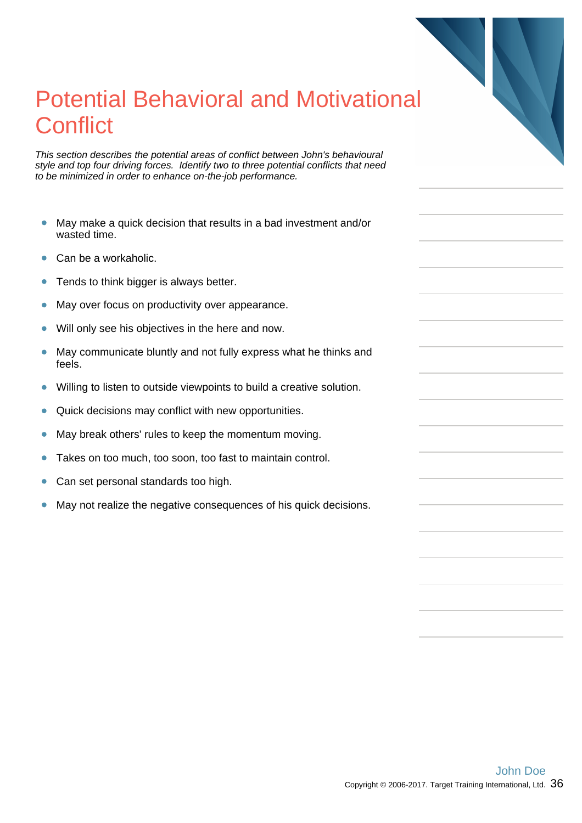## Potential Behavioral and Motivational **Conflict**

This section describes the potential areas of conflict between John's behavioural style and top four driving forces. Identify two to three potential conflicts that need to be minimized in order to enhance on-the-job performance.

- $\bullet$ May make a quick decision that results in a bad investment and/or wasted time.
- Can be a workaholic.  $\bullet$
- Tends to think bigger is always better.  $\bullet$
- $\bullet$ May over focus on productivity over appearance.
- $\bullet$ Will only see his objectives in the here and now.
- $\bullet$ May communicate bluntly and not fully express what he thinks and feels.
- Ċ Willing to listen to outside viewpoints to build a creative solution.
- $\bullet$ Quick decisions may conflict with new opportunities.
- $\bullet$ May break others' rules to keep the momentum moving.
- $\bullet$ Takes on too much, too soon, too fast to maintain control.
- Can set personal standards too high.  $\bullet$
- May not realize the negative consequences of his quick decisions.  $\bullet$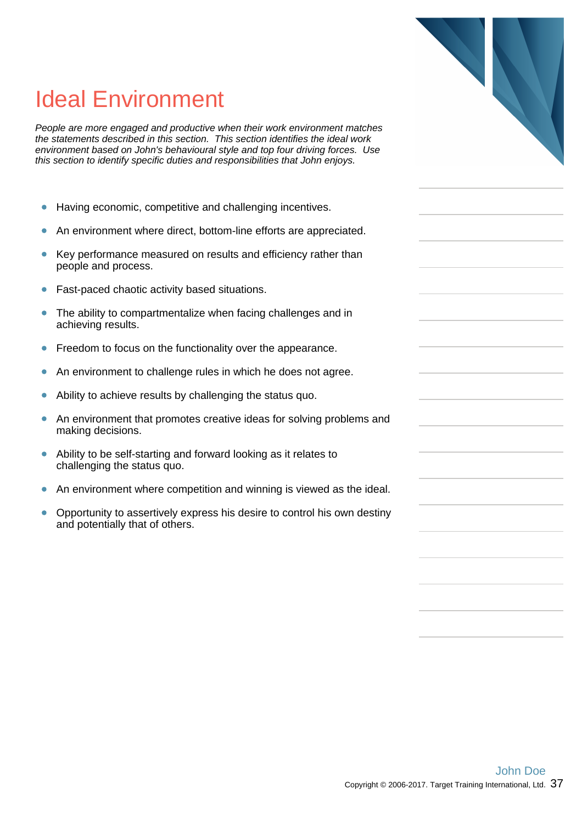# 

## Ideal Environment

People are more engaged and productive when their work environment matches the statements described in this section. This section identifies the ideal work environment based on John's behavioural style and top four driving forces. Use this section to identify specific duties and responsibilities that John enjoys.

- $\bullet$ Having economic, competitive and challenging incentives.
- An environment where direct, bottom-line efforts are appreciated.  $\bullet$
- Key performance measured on results and efficiency rather than  $\bullet$ people and process.
- Fast-paced chaotic activity based situations.  $\bullet$
- The ability to compartmentalize when facing challenges and in  $\bullet$ achieving results.
- Freedom to focus on the functionality over the appearance.  $\bullet$
- An environment to challenge rules in which he does not agree.  $\bullet$
- Ability to achieve results by challenging the status quo.  $\bullet$
- $\bullet$ An environment that promotes creative ideas for solving problems and making decisions.
- Ability to be self-starting and forward looking as it relates to  $\bullet$ challenging the status quo.
- $\bullet$ An environment where competition and winning is viewed as the ideal.
- Opportunity to assertively express his desire to control his own destiny and potentially that of others.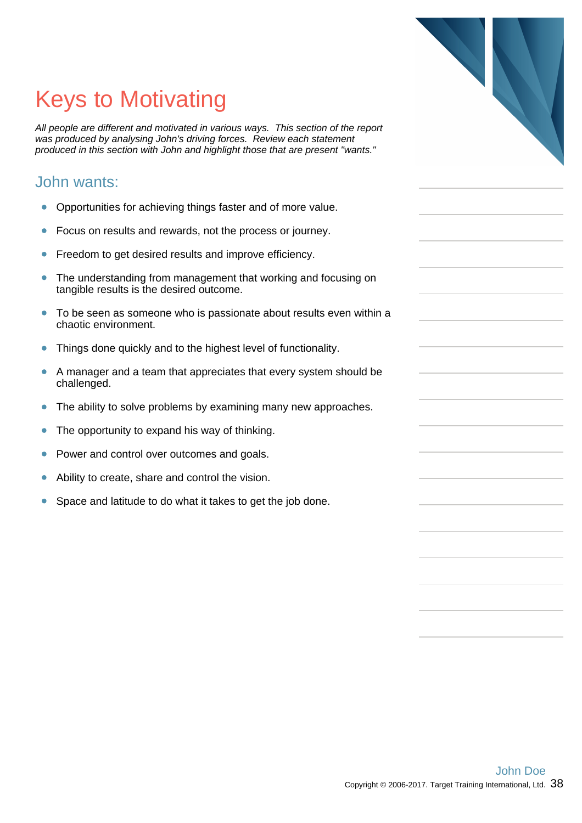# 

# Keys to Motivating

All people are different and motivated in various ways. This section of the report was produced by analysing John's driving forces. Review each statement produced in this section with John and highlight those that are present "wants."

#### John wants:

- $\bullet$ Opportunities for achieving things faster and of more value.
- Focus on results and rewards, not the process or journey.  $\bullet$
- Freedom to get desired results and improve efficiency.  $\bullet$
- The understanding from management that working and focusing on  $\bullet$ tangible results is the desired outcome.
- To be seen as someone who is passionate about results even within a  $\bullet$ chaotic environment.
- Things done quickly and to the highest level of functionality.  $\bullet$
- A manager and a team that appreciates that every system should be  $\bullet$ challenged.
- $\bullet$ The ability to solve problems by examining many new approaches.
- The opportunity to expand his way of thinking.  $\bullet$
- Power and control over outcomes and goals. Ŏ
- Ability to create, share and control the vision.
- Space and latitude to do what it takes to get the job done. ò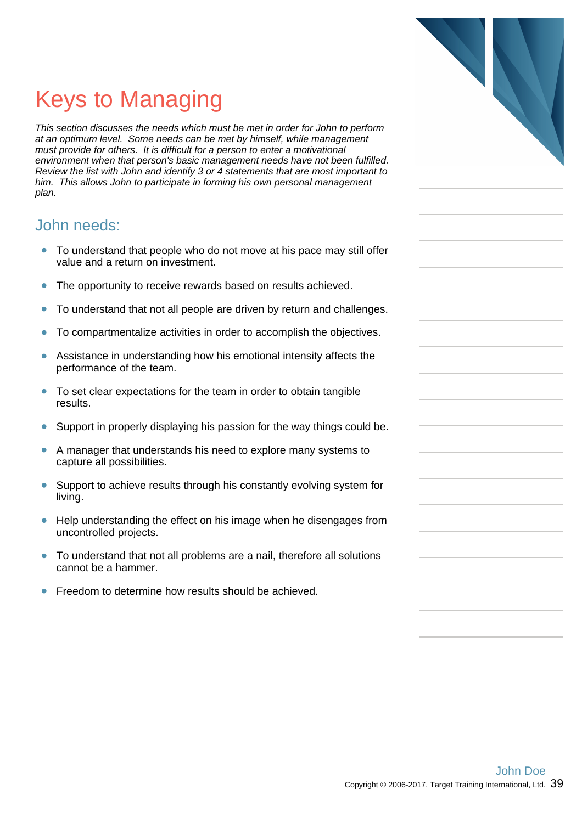# Keys to Managing

This section discusses the needs which must be met in order for John to perform at an optimum level. Some needs can be met by himself, while management must provide for others. It is difficult for a person to enter a motivational environment when that person's basic management needs have not been fulfilled. Review the list with John and identify 3 or 4 statements that are most important to him. This allows John to participate in forming his own personal management plan.

#### John needs:

- To understand that people who do not move at his pace may still offer  $\bullet$ value and a return on investment.
- The opportunity to receive rewards based on results achieved.  $\bullet$
- To understand that not all people are driven by return and challenges.  $\bullet$
- To compartmentalize activities in order to accomplish the objectives.  $\bullet$
- Assistance in understanding how his emotional intensity affects the  $\bullet$ performance of the team.
- $\bullet$ To set clear expectations for the team in order to obtain tangible results.
- Support in properly displaying his passion for the way things could be.  $\bullet$
- A manager that understands his need to explore many systems to capture all possibilities.
- $\bullet$ Support to achieve results through his constantly evolving system for living.
- $\bullet$ Help understanding the effect on his image when he disengages from uncontrolled projects.
- To understand that not all problems are a nail, therefore all solutions  $\bullet$ cannot be a hammer.
- Freedom to determine how results should be achieved.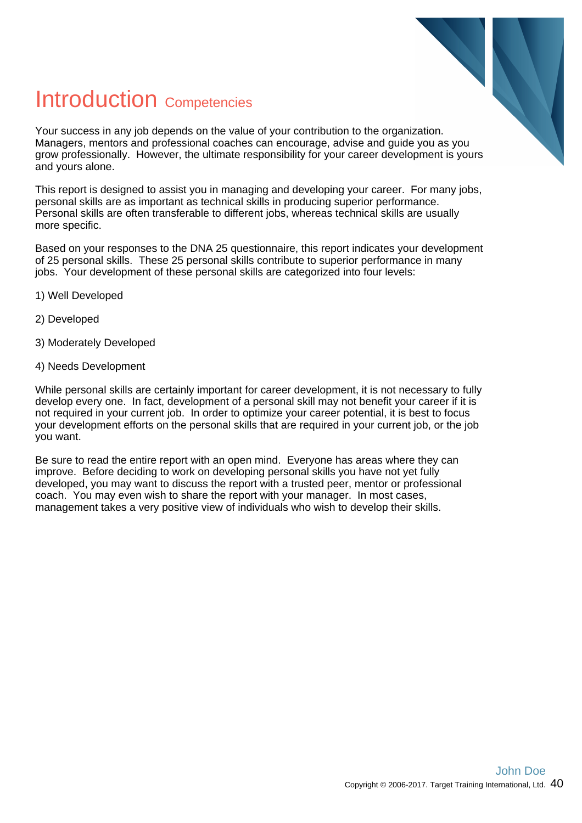

## Introduction Competencies

Your success in any job depends on the value of your contribution to the organization. Managers, mentors and professional coaches can encourage, advise and guide you as you grow professionally. However, the ultimate responsibility for your career development is yours and yours alone.

This report is designed to assist you in managing and developing your career. For many jobs, personal skills are as important as technical skills in producing superior performance. Personal skills are often transferable to different jobs, whereas technical skills are usually more specific.

Based on your responses to the DNA 25 questionnaire, this report indicates your development of 25 personal skills. These 25 personal skills contribute to superior performance in many jobs. Your development of these personal skills are categorized into four levels:

- 1) Well Developed
- 2) Developed
- 3) Moderately Developed
- 4) Needs Development

While personal skills are certainly important for career development, it is not necessary to fully develop every one. In fact, development of a personal skill may not benefit your career if it is not required in your current job. In order to optimize your career potential, it is best to focus your development efforts on the personal skills that are required in your current job, or the job you want.

Be sure to read the entire report with an open mind. Everyone has areas where they can improve. Before deciding to work on developing personal skills you have not yet fully developed, you may want to discuss the report with a trusted peer, mentor or professional coach. You may even wish to share the report with your manager. In most cases, management takes a very positive view of individuals who wish to develop their skills.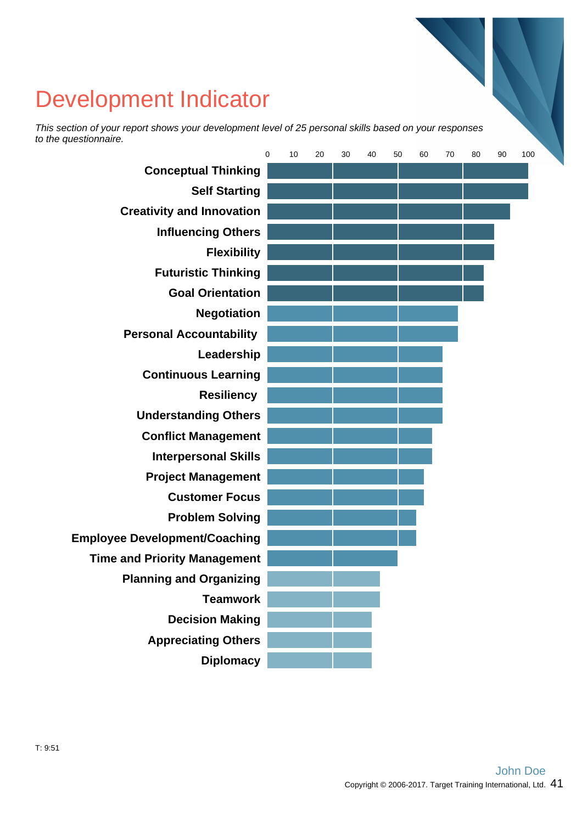## Development Indicator

This section of your report shows your development level of 25 personal skills based on your responses to the questionnaire.

|                                      | $\mathbf 0$ | 10 | 20 | 30 | 40 | 50 | 60 | 70 | 80 | 90 | 100 |  |
|--------------------------------------|-------------|----|----|----|----|----|----|----|----|----|-----|--|
| <b>Conceptual Thinking</b>           |             |    |    |    |    |    |    |    |    |    |     |  |
| <b>Self Starting</b>                 |             |    |    |    |    |    |    |    |    |    |     |  |
| <b>Creativity and Innovation</b>     |             |    |    |    |    |    |    |    |    |    |     |  |
| <b>Influencing Others</b>            |             |    |    |    |    |    |    |    |    |    |     |  |
| <b>Flexibility</b>                   |             |    |    |    |    |    |    |    |    |    |     |  |
| <b>Futuristic Thinking</b>           |             |    |    |    |    |    |    |    |    |    |     |  |
| <b>Goal Orientation</b>              |             |    |    |    |    |    |    |    |    |    |     |  |
| <b>Negotiation</b>                   |             |    |    |    |    |    |    |    |    |    |     |  |
| <b>Personal Accountability</b>       |             |    |    |    |    |    |    |    |    |    |     |  |
| Leadership                           |             |    |    |    |    |    |    |    |    |    |     |  |
| <b>Continuous Learning</b>           |             |    |    |    |    |    |    |    |    |    |     |  |
| <b>Resiliency</b>                    |             |    |    |    |    |    |    |    |    |    |     |  |
| <b>Understanding Others</b>          |             |    |    |    |    |    |    |    |    |    |     |  |
| <b>Conflict Management</b>           |             |    |    |    |    |    |    |    |    |    |     |  |
| <b>Interpersonal Skills</b>          |             |    |    |    |    |    |    |    |    |    |     |  |
| <b>Project Management</b>            |             |    |    |    |    |    |    |    |    |    |     |  |
| <b>Customer Focus</b>                |             |    |    |    |    |    |    |    |    |    |     |  |
| <b>Problem Solving</b>               |             |    |    |    |    |    |    |    |    |    |     |  |
| <b>Employee Development/Coaching</b> |             |    |    |    |    |    |    |    |    |    |     |  |
| <b>Time and Priority Management</b>  |             |    |    |    |    |    |    |    |    |    |     |  |
| <b>Planning and Organizing</b>       |             |    |    |    |    |    |    |    |    |    |     |  |
| <b>Teamwork</b>                      |             |    |    |    |    |    |    |    |    |    |     |  |
| <b>Decision Making</b>               |             |    |    |    |    |    |    |    |    |    |     |  |
| <b>Appreciating Others</b>           |             |    |    |    |    |    |    |    |    |    |     |  |
| <b>Diplomacy</b>                     |             |    |    |    |    |    |    |    |    |    |     |  |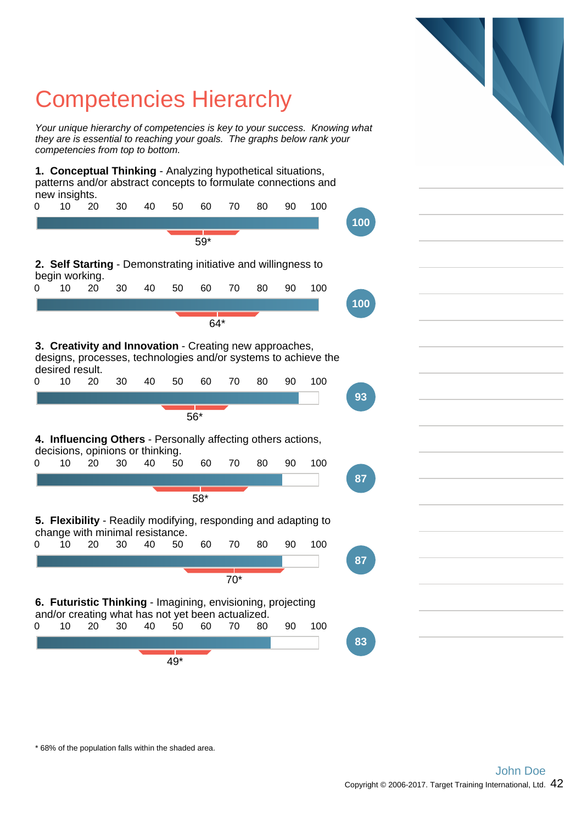## Competencies Hierarchy

Your unique hierarchy of competencies is key to your success. Knowing what they are is essential to reaching your goals. The graphs below rank your competencies from top to bottom.

**1. Conceptual Thinking** - Analyzing hypothetical situations, patterns and/or abstract concepts to formulate connections and new insights.



\* 68% of the population falls within the shaded area.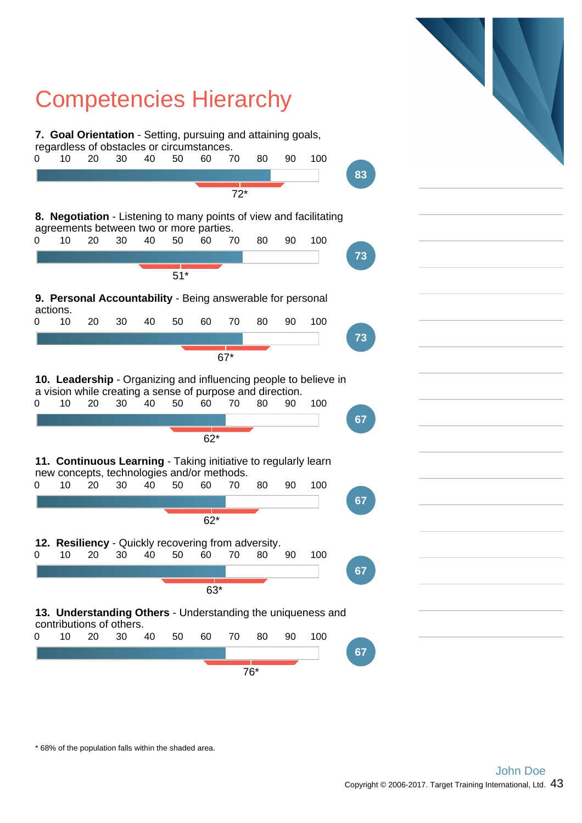

\* 68% of the population falls within the shaded area.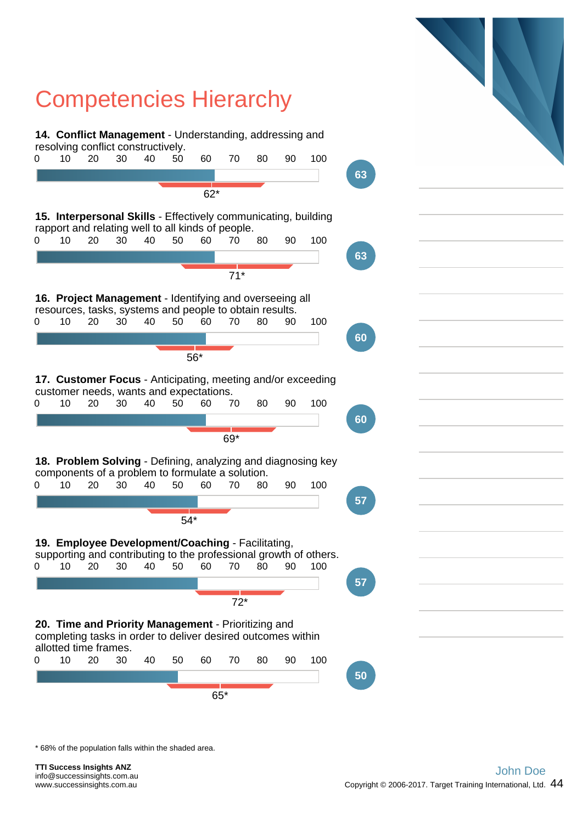

\* 68% of the population falls within the shaded area.

**TTI Success Insights ANZ** info@successinsights.com.au www.successinsights.com.au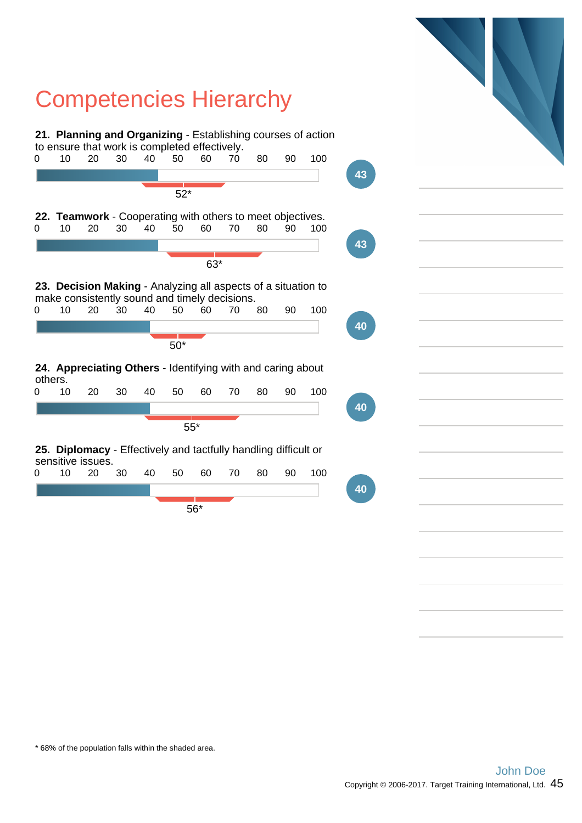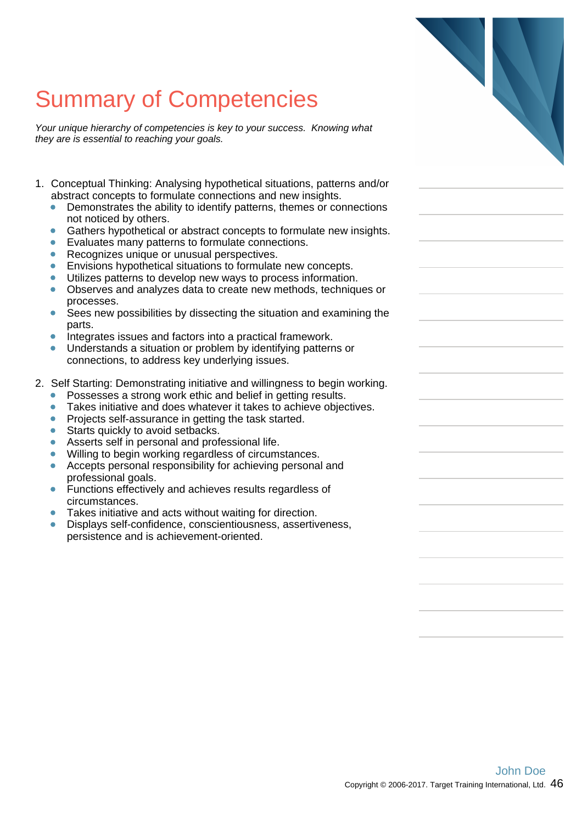Your unique hierarchy of competencies is key to your success. Knowing what they are is essential to reaching your goals.

- 1. Conceptual Thinking: Analysing hypothetical situations, patterns and/or abstract concepts to formulate connections and new insights.
	- $\bullet$ Demonstrates the ability to identify patterns, themes or connections not noticed by others.
	- Gathers hypothetical or abstract concepts to formulate new insights.
	- $\bullet$ Evaluates many patterns to formulate connections.
	- Recognizes unique or unusual perspectives.  $\bullet$
	- $\bullet$ Envisions hypothetical situations to formulate new concepts.
	- Utilizes patterns to develop new ways to process information.
	- Observes and analyzes data to create new methods, techniques or  $\bullet$ processes.
	- Sees new possibilities by dissecting the situation and examining the parts.
	- Integrates issues and factors into a practical framework.  $\bullet$
	- Understands a situation or problem by identifying patterns or connections, to address key underlying issues.
- 2. Self Starting: Demonstrating initiative and willingness to begin working.
	- Possesses a strong work ethic and belief in getting results.
	- ò Takes initiative and does whatever it takes to achieve objectives.
	- $\bullet$ Projects self-assurance in getting the task started.
	- Starts quickly to avoid setbacks.
	- Asserts self in personal and professional life.
	- Willing to begin working regardless of circumstances.  $\blacksquare$
	- $\bullet$ Accepts personal responsibility for achieving personal and professional goals.
	- $\bullet$ Functions effectively and achieves results regardless of circumstances.
	- Takes initiative and acts without waiting for direction.
	- Displays self-confidence, conscientiousness, assertiveness, persistence and is achievement-oriented.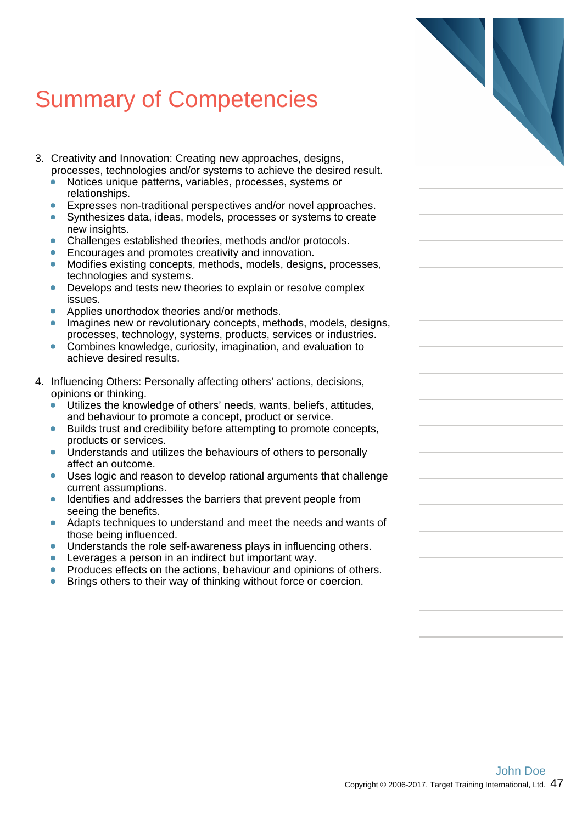- 3. Creativity and Innovation: Creating new approaches, designs, processes, technologies and/or systems to achieve the desired result.
	- Notices unique patterns, variables, processes, systems or relationships.
	- Expresses non-traditional perspectives and/or novel approaches.  $\blacksquare$
	- Synthesizes data, ideas, models, processes or systems to create new insights.
	- $\bullet$ Challenges established theories, methods and/or protocols.
	- Encourages and promotes creativity and innovation.
	- $\bullet$ Modifies existing concepts, methods, models, designs, processes, technologies and systems.
	- $\bullet$ Develops and tests new theories to explain or resolve complex issues.
	- Applies unorthodox theories and/or methods.
	- Imagines new or revolutionary concepts, methods, models, designs,  $\bullet$ processes, technology, systems, products, services or industries.
	- Combines knowledge, curiosity, imagination, and evaluation to  $\bullet$ achieve desired results.
- 4. Influencing Others: Personally affecting others' actions, decisions, opinions or thinking.
	- Utilizes the knowledge of others' needs, wants, beliefs, attitudes,  $\bullet$ and behaviour to promote a concept, product or service.
	- Builds trust and credibility before attempting to promote concepts,  $\bullet$ products or services.
	- $\bullet$ Understands and utilizes the behaviours of others to personally affect an outcome.
	- Uses logic and reason to develop rational arguments that challenge  $\bullet$ current assumptions.
	- Identifies and addresses the barriers that prevent people from  $\bullet$ seeing the benefits.
	- Adapts techniques to understand and meet the needs and wants of  $\blacksquare$ those being influenced.
	- Understands the role self-awareness plays in influencing others.
	- Leverages a person in an indirect but important way.
	- Produces effects on the actions, behaviour and opinions of others.
	- Brings others to their way of thinking without force or coercion.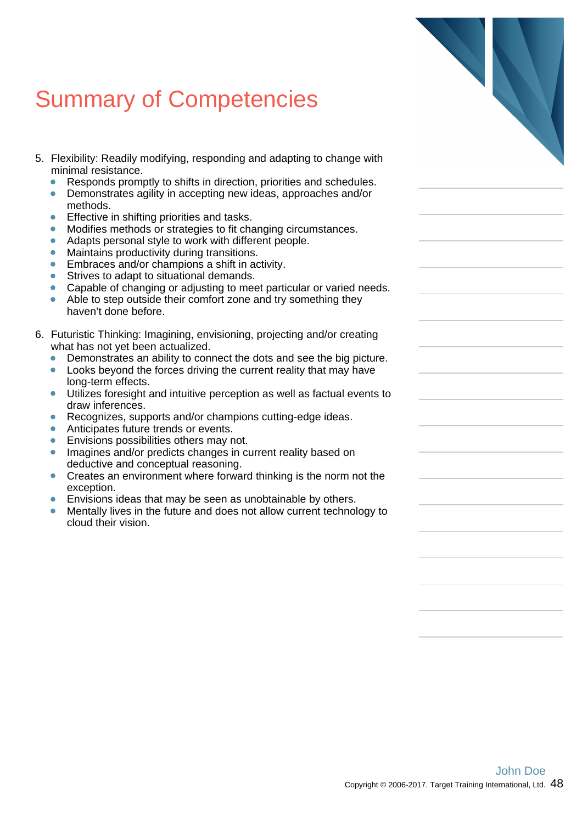| <b>Summary of Competencies</b> |  |  |  |
|--------------------------------|--|--|--|
|--------------------------------|--|--|--|

- 5. Flexibility: Readily modifying, responding and adapting to change with minimal resistance.
	- Responds promptly to shifts in direction, priorities and schedules.  $\bullet$
	- Demonstrates agility in accepting new ideas, approaches and/or  $\bullet$ methods.
	- Effective in shifting priorities and tasks.
	- Modifies methods or strategies to fit changing circumstances.  $\bullet$
	- $\bullet$ Adapts personal style to work with different people.
	- Maintains productivity during transitions.  $\bullet$
	- $\bullet$ Embraces and/or champions a shift in activity.
	- Strives to adapt to situational demands.  $\bullet$
	- $\bullet$ Capable of changing or adjusting to meet particular or varied needs.
	- Able to step outside their comfort zone and try something they haven't done before.
- 6. Futuristic Thinking: Imagining, envisioning, projecting and/or creating what has not yet been actualized.
	- Demonstrates an ability to connect the dots and see the big picture.  $\bullet$
	- $\bullet$ Looks beyond the forces driving the current reality that may have long-term effects.
	- Utilizes foresight and intuitive perception as well as factual events to draw inferences.
	- Recognizes, supports and/or champions cutting-edge ideas.
	- Anticipates future trends or events.  $\bullet$
	- Envisions possibilities others may not.  $\bullet$
	- $\bullet$ Imagines and/or predicts changes in current reality based on deductive and conceptual reasoning.
	- Creates an environment where forward thinking is the norm not the  $\bullet$ exception.
	- Envisions ideas that may be seen as unobtainable by others.
	- Mentally lives in the future and does not allow current technology to cloud their vision.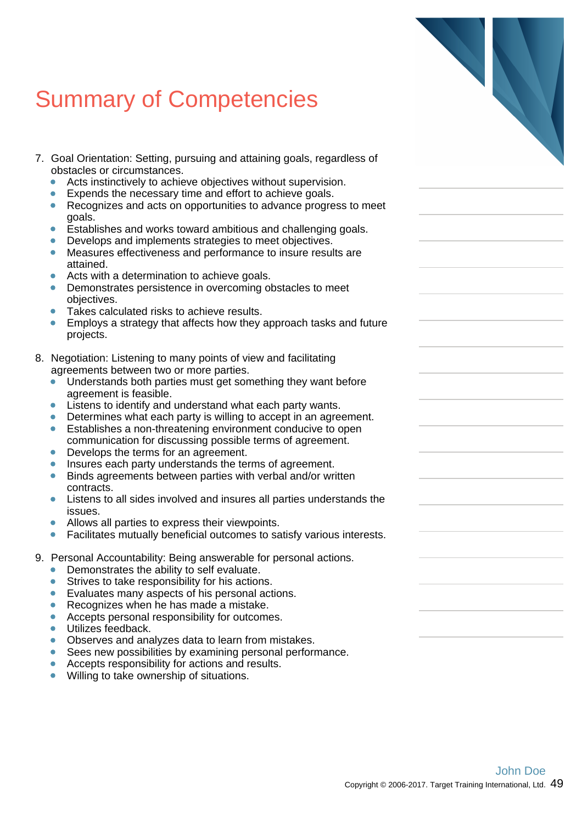- 7. Goal Orientation: Setting, pursuing and attaining goals, regardless of obstacles or circumstances.
	- Acts instinctively to achieve objectives without supervision.  $\bullet$
	- Expends the necessary time and effort to achieve goals.  $\bullet$
	- Recognizes and acts on opportunities to advance progress to meet  $\bullet$ goals.
	- Establishes and works toward ambitious and challenging goals. ò
	- Develops and implements strategies to meet objectives.
	- Measures effectiveness and performance to insure results are attained.
	- Acts with a determination to achieve goals.  $\bullet$
	- $\bullet$ Demonstrates persistence in overcoming obstacles to meet objectives.
	- Takes calculated risks to achieve results.
	- Employs a strategy that affects how they approach tasks and future  $\bullet$ projects.
- 8. Negotiation: Listening to many points of view and facilitating agreements between two or more parties.
	- Understands both parties must get something they want before agreement is feasible.
	- Listens to identify and understand what each party wants.  $\bullet$
	- Determines what each party is willing to accept in an agreement.
	- Establishes a non-threatening environment conducive to open  $\bullet$ communication for discussing possible terms of agreement.
	- $\bullet$ Develops the terms for an agreement.
	- Insures each party understands the terms of agreement.
	- Binds agreements between parties with verbal and/or written  $\bullet$ contracts.
	- Listens to all sides involved and insures all parties understands the issues.
	- Allows all parties to express their viewpoints.  $\blacksquare$
	- Facilitates mutually beneficial outcomes to satisfy various interests.
- 9. Personal Accountability: Being answerable for personal actions.
	- Demonstrates the ability to self evaluate.
	- $\bullet$ Strives to take responsibility for his actions.
	- Evaluates many aspects of his personal actions.
	- $\bullet$ Recognizes when he has made a mistake.
	- $\blacksquare$ Accepts personal responsibility for outcomes.
	- Utilizes feedback.
	- Observes and analyzes data to learn from mistakes.
	- $\blacksquare$ Sees new possibilities by examining personal performance.
	- Accepts responsibility for actions and results.  $\bullet$
	- Willing to take ownership of situations.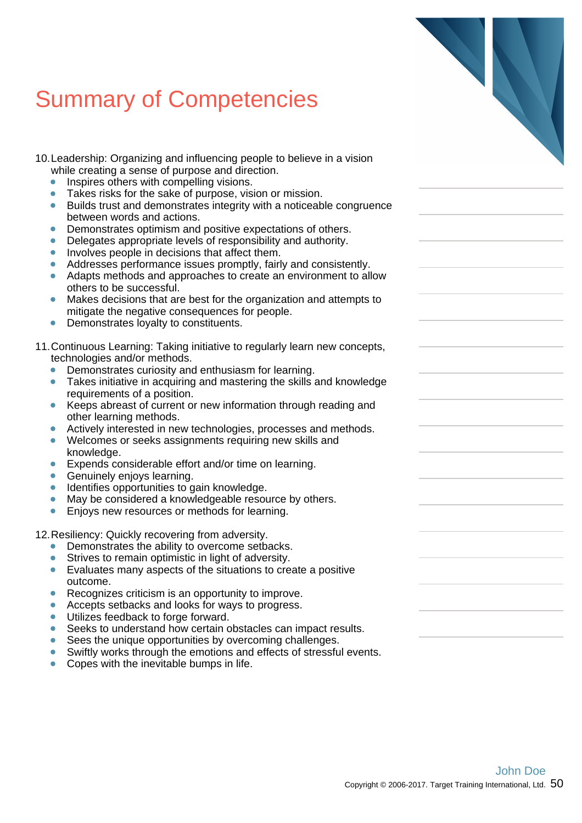- 10.Leadership: Organizing and influencing people to believe in a vision while creating a sense of purpose and direction.
	- Inspires others with compelling visions.  $\bullet$
	- Takes risks for the sake of purpose, vision or mission.  $\bullet$
	- Builds trust and demonstrates integrity with a noticeable congruence  $\bullet$ between words and actions.
	- Demonstrates optimism and positive expectations of others.  $\bullet$
	- Delegates appropriate levels of responsibility and authority.  $\bullet$
	- Involves people in decisions that affect them.  $\bullet$
	- Addresses performance issues promptly, fairly and consistently.
	- Adapts methods and approaches to create an environment to allow  $\bullet$ others to be successful.
	- Makes decisions that are best for the organization and attempts to mitigate the negative consequences for people.
	- Demonstrates loyalty to constituents.  $\bullet$
- 11.Continuous Learning: Taking initiative to regularly learn new concepts, technologies and/or methods.
	- $\bullet$ Demonstrates curiosity and enthusiasm for learning.
	- Takes initiative in acquiring and mastering the skills and knowledge requirements of a position.
	- Keeps abreast of current or new information through reading and  $\bullet$ other learning methods.
	- Actively interested in new technologies, processes and methods.  $\bullet$
	- Welcomes or seeks assignments requiring new skills and  $\bullet$ knowledge.
	- Expends considerable effort and/or time on learning.
	- Genuinely enjoys learning.  $\bullet$
	- Identifies opportunities to gain knowledge.  $\bullet$
	- May be considered a knowledgeable resource by others.  $\bullet$
	- Enjoys new resources or methods for learning.  $\bullet$

12.Resiliency: Quickly recovering from adversity.

- Demonstrates the ability to overcome setbacks.
- Strives to remain optimistic in light of adversity.  $\bullet$
- $\bullet$ Evaluates many aspects of the situations to create a positive outcome.
- Recognizes criticism is an opportunity to improve.  $\bullet$
- $\bullet$ Accepts setbacks and looks for ways to progress.
- $\bullet$ Utilizes feedback to forge forward.
- Seeks to understand how certain obstacles can impact results.
- Sees the unique opportunities by overcoming challenges. Ä
- $\bullet$ Swiftly works through the emotions and effects of stressful events.
- $\bullet$ Copes with the inevitable bumps in life.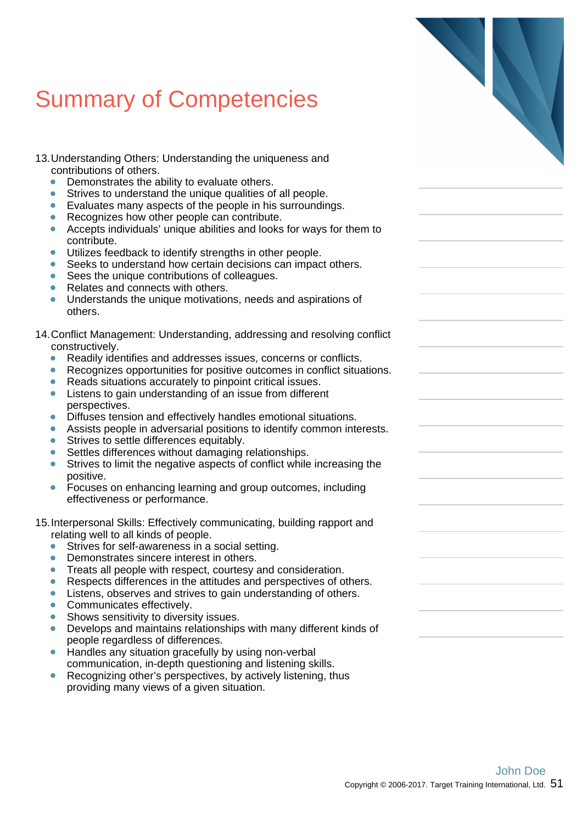- 13.Understanding Others: Understanding the uniqueness and contributions of others.
	- Demonstrates the ability to evaluate others.
	- $\bullet$ Strives to understand the unique qualities of all people.
	- $\bullet$ Evaluates many aspects of the people in his surroundings.
	- Recognizes how other people can contribute.
	- Accepts individuals' unique abilities and looks for ways for them to  $\bullet$ contribute.
	- Utilizes feedback to identify strengths in other people.  $\bullet$
	- $\bullet$ Seeks to understand how certain decisions can impact others.
	- Sees the unique contributions of colleagues.  $\bullet$
	- Relates and connects with others.
	- Understands the unique motivations, needs and aspirations of others.
- 14.Conflict Management: Understanding, addressing and resolving conflict constructively.
	- $\bullet$ Readily identifies and addresses issues, concerns or conflicts.
	- Recognizes opportunities for positive outcomes in conflict situations.  $\bullet$
	- Reads situations accurately to pinpoint critical issues.
	- Listens to gain understanding of an issue from different  $\bullet$ perspectives.
	- Diffuses tension and effectively handles emotional situations.  $\bullet$
	- Assists people in adversarial positions to identify common interests.  $\bullet$
	- Strives to settle differences equitably.  $\bullet$
	- $\bullet$ Settles differences without damaging relationships.
	- Strives to limit the negative aspects of conflict while increasing the positive.
	- Focuses on enhancing learning and group outcomes, including  $\bullet$ effectiveness or performance.
- 15.Interpersonal Skills: Effectively communicating, building rapport and relating well to all kinds of people.
	- Strives for self-awareness in a social setting.
	- $\bullet$ Demonstrates sincere interest in others.
	- $\bullet$ Treats all people with respect, courtesy and consideration.
	- Respects differences in the attitudes and perspectives of others.  $\bullet$
	- $\bullet$ Listens, observes and strives to gain understanding of others.
	- $\bullet$ Communicates effectively.
	- Shows sensitivity to diversity issues.  $\bullet$
	- Develops and maintains relationships with many different kinds of people regardless of differences.
	- $\bullet$ Handles any situation gracefully by using non-verbal communication, in-depth questioning and listening skills.
	- ò Recognizing other's perspectives, by actively listening, thus providing many views of a given situation.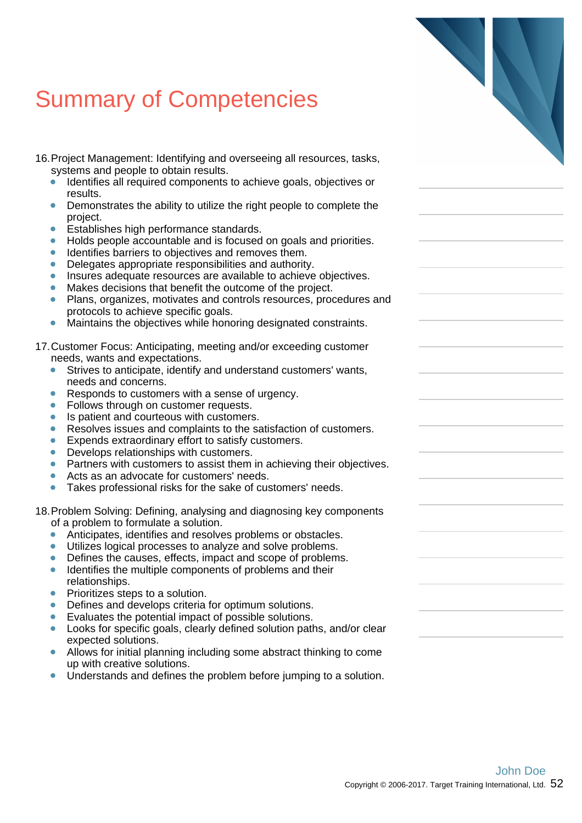- 16.Project Management: Identifying and overseeing all resources, tasks, systems and people to obtain results.
	- Identifies all required components to achieve goals, objectives or  $\bullet$ results.
	- Demonstrates the ability to utilize the right people to complete the  $\bullet$ project.
	- Establishes high performance standards.  $\bullet$
	- Holds people accountable and is focused on goals and priorities.  $\bullet$
	- Identifies barriers to objectives and removes them.
	- $\bullet$ Delegates appropriate responsibilities and authority.
	- Insures adequate resources are available to achieve objectives.  $\bullet$
	- Makes decisions that benefit the outcome of the project.
	- Plans, organizes, motivates and controls resources, procedures and protocols to achieve specific goals.
	- Maintains the objectives while honoring designated constraints.  $\bullet$
- 17.Customer Focus: Anticipating, meeting and/or exceeding customer needs, wants and expectations.
	- Strives to anticipate, identify and understand customers' wants,  $\bullet$ needs and concerns.
	- Responds to customers with a sense of urgency.  $\bullet$
	- $\bullet$ Follows through on customer requests.
	- Is patient and courteous with customers.  $\bullet$
	- Resolves issues and complaints to the satisfaction of customers.  $\bullet$
	- Expends extraordinary effort to satisfy customers.  $\bullet$
	- $\bullet$ Develops relationships with customers.
	- Partners with customers to assist them in achieving their objectives.
	- Acts as an advocate for customers' needs.
	- Takes professional risks for the sake of customers' needs.  $\bullet$

18.Problem Solving: Defining, analysing and diagnosing key components of a problem to formulate a solution.

- Anticipates, identifies and resolves problems or obstacles.  $\bullet$
- Utilizes logical processes to analyze and solve problems.
- Defines the causes, effects, impact and scope of problems.  $\bullet$
- $\bullet$ Identifies the multiple components of problems and their relationships.
- Prioritizes steps to a solution.  $\bullet$
- Defines and develops criteria for optimum solutions.
- Evaluates the potential impact of possible solutions.
- Looks for specific goals, clearly defined solution paths, and/or clear expected solutions.
- $\bullet$ Allows for initial planning including some abstract thinking to come up with creative solutions.
- Understands and defines the problem before jumping to a solution.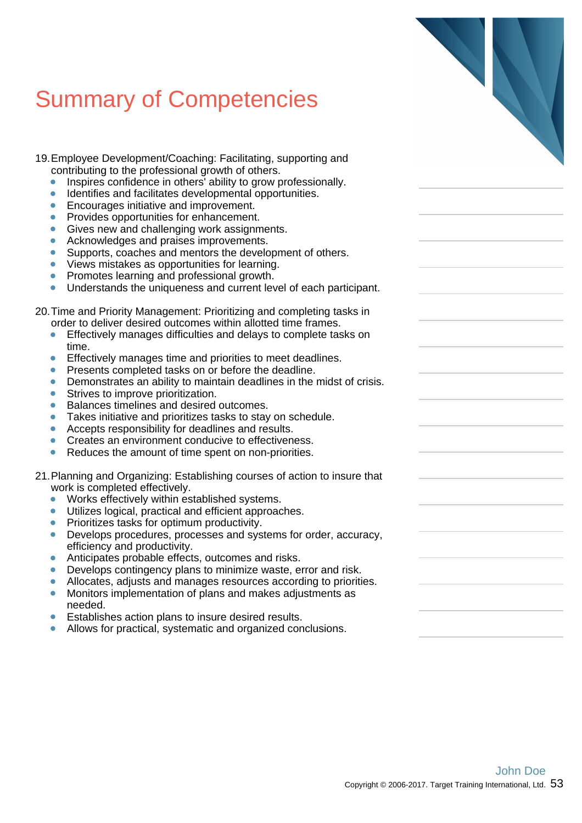- 19.Employee Development/Coaching: Facilitating, supporting and contributing to the professional growth of others.
	- Inspires confidence in others' ability to grow professionally. ä
	- ò Identifies and facilitates developmental opportunities.
	- $\bullet$ Encourages initiative and improvement.
	- Provides opportunities for enhancement.
	- Gives new and challenging work assignments.  $\bullet$
	- Acknowledges and praises improvements.  $\bullet$
	- Supports, coaches and mentors the development of others.  $\bullet$
	- $\bullet$ Views mistakes as opportunities for learning.
	- $\bullet$ Promotes learning and professional growth.
	- $\bullet$ Understands the uniqueness and current level of each participant.

#### 20.Time and Priority Management: Prioritizing and completing tasks in order to deliver desired outcomes within allotted time frames.

- Effectively manages difficulties and delays to complete tasks on  $\bullet$ time.
- ò Effectively manages time and priorities to meet deadlines.
- $\bullet$ Presents completed tasks on or before the deadline.
- Demonstrates an ability to maintain deadlines in the midst of crisis.
- Strives to improve prioritization.  $\bullet$
- Balances timelines and desired outcomes.  $\bullet$
- Takes initiative and prioritizes tasks to stay on schedule.
- $\bullet$ Accepts responsibility for deadlines and results.
- Creates an environment conducive to effectiveness.  $\bullet$
- $\bullet$ Reduces the amount of time spent on non-priorities.

#### 21.Planning and Organizing: Establishing courses of action to insure that work is completed effectively.

- $\bullet$ Works effectively within established systems.
- Utilizes logical, practical and efficient approaches.  $\bullet$
- ä Prioritizes tasks for optimum productivity.
- $\bullet$ Develops procedures, processes and systems for order, accuracy, efficiency and productivity.
- Anticipates probable effects, outcomes and risks.
- Develops contingency plans to minimize waste, error and risk.  $\bullet$
- Allocates, adjusts and manages resources according to priorities.  $\bullet$
- Monitors implementation of plans and makes adjustments as needed.
- Establishes action plans to insure desired results.
- Allows for practical, systematic and organized conclusions.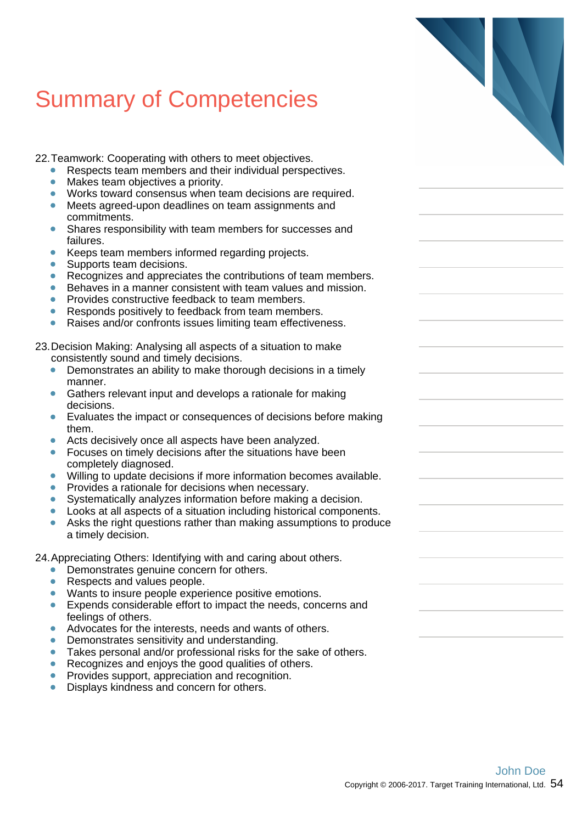22.Teamwork: Cooperating with others to meet objectives.

- Respects team members and their individual perspectives.
- Makes team objectives a priority.
- $\bullet$ Works toward consensus when team decisions are required.
- Meets agreed-upon deadlines on team assignments and commitments.
- Shares responsibility with team members for successes and  $\bullet$ failures.
- Keeps team members informed regarding projects.  $\bullet$
- $\bullet$ Supports team decisions.
- $\bullet$ Recognizes and appreciates the contributions of team members.
- $\bullet$ Behaves in a manner consistent with team values and mission. Provides constructive feedback to team members.
- Responds positively to feedback from team members.  $\blacksquare$
- Raises and/or confronts issues limiting team effectiveness.  $\bullet$

23.Decision Making: Analysing all aspects of a situation to make consistently sound and timely decisions.

- Demonstrates an ability to make thorough decisions in a timely  $\bullet$ manner.
- Gathers relevant input and develops a rationale for making  $\bullet$ decisions.
- Evaluates the impact or consequences of decisions before making  $\bullet$ them.
- Acts decisively once all aspects have been analyzed.  $\bullet$
- $\bullet$ Focuses on timely decisions after the situations have been completely diagnosed.
- Willing to update decisions if more information becomes available.
- Provides a rationale for decisions when necessary.  $\bullet$
- Systematically analyzes information before making a decision.  $\bullet$
- Looks at all aspects of a situation including historical components.
- Asks the right questions rather than making assumptions to produce ä a timely decision.

24.Appreciating Others: Identifying with and caring about others.

- Demonstrates genuine concern for others.
- $\bullet$ Respects and values people.
- $\bullet$ Wants to insure people experience positive emotions.
- $\bullet$ Expends considerable effort to impact the needs, concerns and feelings of others.
- Advocates for the interests, needs and wants of others.
- Demonstrates sensitivity and understanding.  $\blacksquare$
- $\blacksquare$ Takes personal and/or professional risks for the sake of others.
- Recognizes and enjoys the good qualities of others.  $\bullet$
- Provides support, appreciation and recognition.
- Displays kindness and concern for others.  $\bullet$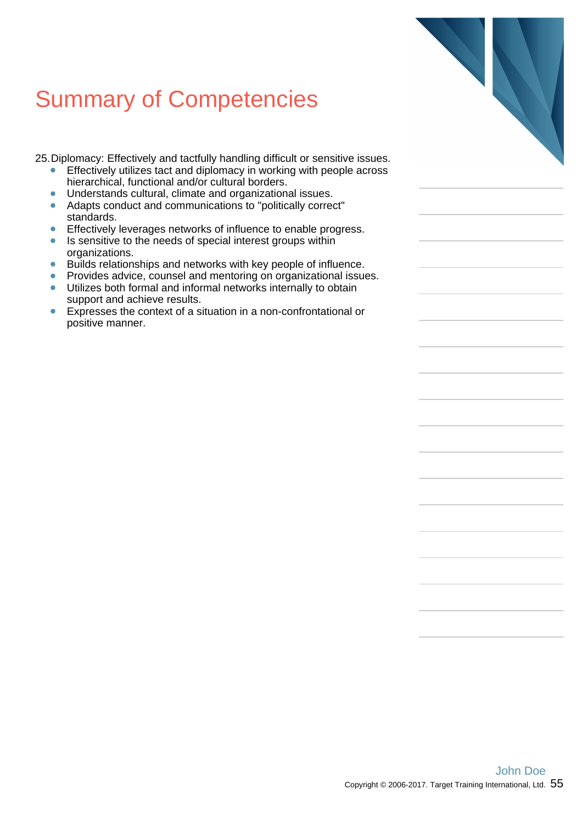25.Diplomacy: Effectively and tactfully handling difficult or sensitive issues.

- Effectively utilizes tact and diplomacy in working with people across  $\bullet$ hierarchical, functional and/or cultural borders.
- $\bullet$ Understands cultural, climate and organizational issues.
- Adapts conduct and communications to "politically correct"  $\bullet$ standards.
- Effectively leverages networks of influence to enable progress.  $\bullet$
- Is sensitive to the needs of special interest groups within organizations.
- $\bullet$ Builds relationships and networks with key people of influence.
- Provides advice, counsel and mentoring on organizational issues.  $\bullet$
- Utilizes both formal and informal networks internally to obtain  $\bullet$ support and achieve results.
- Expresses the context of a situation in a non-confrontational or  $\bullet$ positive manner.